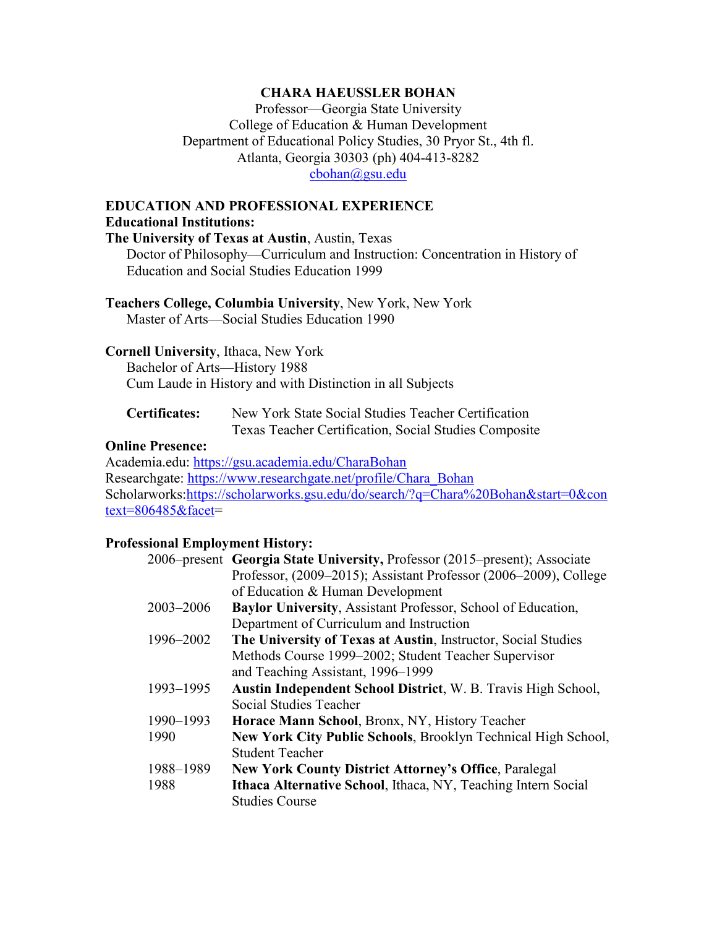# **CHARA HAEUSSLER BOHAN**

Professor—Georgia State University College of Education & Human Development Department of Educational Policy Studies, 30 Pryor St., 4th fl. Atlanta, Georgia 30303 (ph) 404-413-8282 [cbohan@gsu.edu](mailto:cbohan@gsu.edu)

# **EDUCATION AND PROFESSIONAL EXPERIENCE Educational Institutions:**

**The University of Texas at Austin**, Austin, Texas Doctor of Philosophy—Curriculum and Instruction: Concentration in History of Education and Social Studies Education 1999

**Teachers College, Columbia University**, New York, New York Master of Arts—Social Studies Education 1990

# **Cornell University**, Ithaca, New York

Bachelor of Arts—History 1988 Cum Laude in History and with Distinction in all Subjects

**Certificates:** New York State Social Studies Teacher Certification Texas Teacher Certification, Social Studies Composite

# **Online Presence:**

Academia.edu: <https://gsu.academia.edu/CharaBohan> Researchgate: [https://www.researchgate.net/profile/Chara\\_Bohan](https://www.researchgate.net/profile/Chara_Bohan) Scholarworks[:https://scholarworks.gsu.edu/do/search/?q=Chara%20Bohan&start=0&con](https://scholarworks.gsu.edu/do/search/?q=Chara%20Bohan&start=0&context=806485&facet) [text=806485&facet=](https://scholarworks.gsu.edu/do/search/?q=Chara%20Bohan&start=0&context=806485&facet)

# **Professional Employment History:**

|           | 2006–present Georgia State University, Professor (2015–present); Associate |
|-----------|----------------------------------------------------------------------------|
|           | Professor, (2009–2015); Assistant Professor (2006–2009), College           |
|           | of Education & Human Development                                           |
| 2003-2006 | Baylor University, Assistant Professor, School of Education,               |
|           | Department of Curriculum and Instruction                                   |
| 1996–2002 | The University of Texas at Austin, Instructor, Social Studies              |
|           | Methods Course 1999–2002; Student Teacher Supervisor                       |
|           | and Teaching Assistant, 1996-1999                                          |
| 1993-1995 | Austin Independent School District, W. B. Travis High School,              |
|           | Social Studies Teacher                                                     |
| 1990-1993 | Horace Mann School, Bronx, NY, History Teacher                             |
| 1990      | New York City Public Schools, Brooklyn Technical High School,              |
|           | <b>Student Teacher</b>                                                     |
| 1988-1989 | <b>New York County District Attorney's Office, Paralegal</b>               |
| 1988      | Ithaca Alternative School, Ithaca, NY, Teaching Intern Social              |
|           | <b>Studies Course</b>                                                      |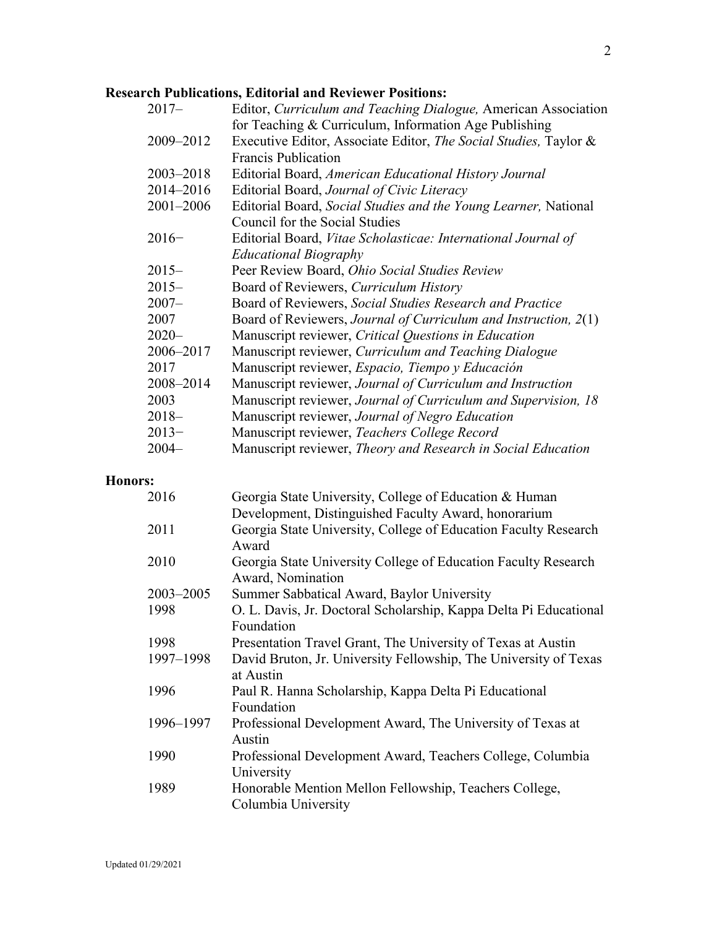# **Research Publications, Editorial and Reviewer Positions:**

| $2017-$       | Editor, Curriculum and Teaching Dialogue, American Association   |
|---------------|------------------------------------------------------------------|
|               | for Teaching & Curriculum, Information Age Publishing            |
| 2009-2012     | Executive Editor, Associate Editor, The Social Studies, Taylor & |
|               | <b>Francis Publication</b>                                       |
| $2003 - 2018$ | Editorial Board, American Educational History Journal            |
| 2014-2016     | Editorial Board, Journal of Civic Literacy                       |
| $2001 - 2006$ | Editorial Board, Social Studies and the Young Learner, National  |
|               | Council for the Social Studies                                   |
| $2016-$       | Editorial Board, Vitae Scholasticae: International Journal of    |
|               | <b>Educational Biography</b>                                     |
| $2015 -$      | Peer Review Board, Ohio Social Studies Review                    |
| $2015 -$      | Board of Reviewers, Curriculum History                           |
| $2007 -$      | Board of Reviewers, Social Studies Research and Practice         |
| 2007          | Board of Reviewers, Journal of Curriculum and Instruction, 2(1)  |
| $2020 -$      | Manuscript reviewer, Critical Questions in Education             |
| 2006–2017     | Manuscript reviewer, Curriculum and Teaching Dialogue            |
| 2017          | Manuscript reviewer, Espacio, Tiempo y Educación                 |
| 2008-2014     | Manuscript reviewer, Journal of Curriculum and Instruction       |
| 2003          | Manuscript reviewer, Journal of Curriculum and Supervision, 18   |
| $2018-$       | Manuscript reviewer, Journal of Negro Education                  |
| $2013-$       | Manuscript reviewer, Teachers College Record                     |
| $2004 -$      | Manuscript reviewer, Theory and Research in Social Education     |

# **Honors:**

| 2016          | Georgia State University, College of Education & Human            |
|---------------|-------------------------------------------------------------------|
|               | Development, Distinguished Faculty Award, honorarium              |
| 2011          | Georgia State University, College of Education Faculty Research   |
|               | Award                                                             |
| 2010          | Georgia State University College of Education Faculty Research    |
|               | Award, Nomination                                                 |
| $2003 - 2005$ | Summer Sabbatical Award, Baylor University                        |
| 1998          | O. L. Davis, Jr. Doctoral Scholarship, Kappa Delta Pi Educational |
|               | Foundation                                                        |
| 1998          | Presentation Travel Grant, The University of Texas at Austin      |
| 1997-1998     | David Bruton, Jr. University Fellowship, The University of Texas  |
|               | at Austin                                                         |
| 1996          | Paul R. Hanna Scholarship, Kappa Delta Pi Educational             |
|               | Foundation                                                        |
| 1996-1997     | Professional Development Award, The University of Texas at        |
|               | Austin                                                            |
| 1990          | Professional Development Award, Teachers College, Columbia        |
|               | University                                                        |
| 1989          | Honorable Mention Mellon Fellowship, Teachers College,            |
|               | Columbia University                                               |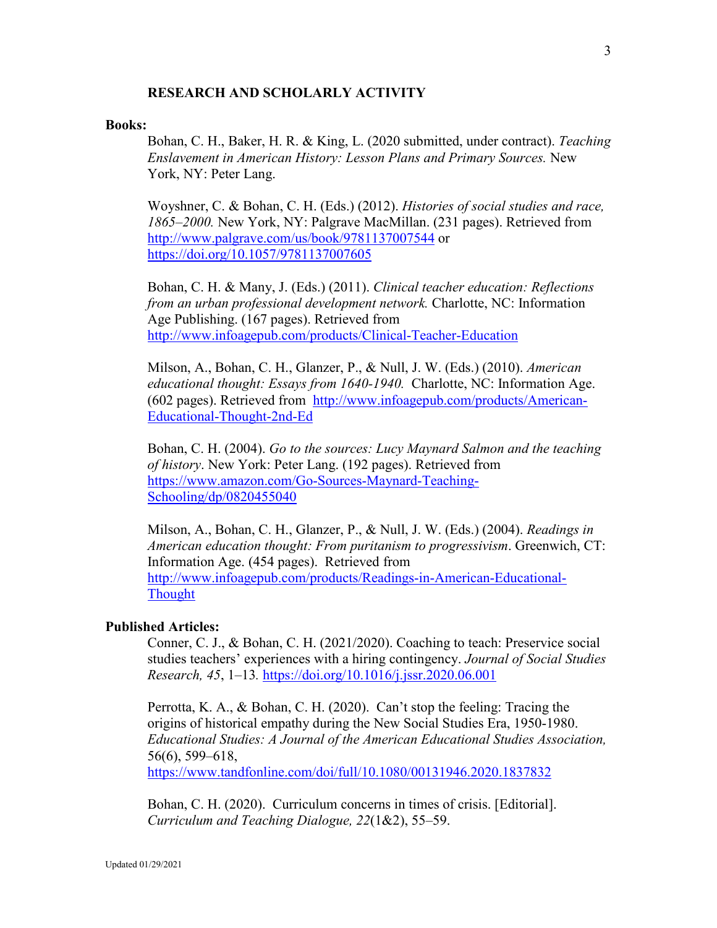# **RESEARCH AND SCHOLARLY ACTIVITY**

#### **Books:**

Bohan, C. H., Baker, H. R. & King, L. (2020 submitted, under contract). *Teaching Enslavement in American History: Lesson Plans and Primary Sources.* New York, NY: Peter Lang.

Woyshner, C. & Bohan, C. H. (Eds.) (2012). *Histories of social studies and race, 1865–2000.* New York, NY: Palgrave MacMillan. (231 pages). Retrieved from <http://www.palgrave.com/us/book/9781137007544> or [https://doi.org/10.1057/9781137007605](https://na01.safelinks.protection.outlook.com/?url=https%3A%2F%2Fdoi.org%2F10.1057%2F9781137007605&data=02%7C01%7Ccbohan%40gsu.edu%7Cdeb1738d7f544c90c1da08d69b5d597d%7C515ad73d8d5e4169895c9789dc742a70%7C0%7C0%7C636867222568067668&sdata=WB5Je2U7hoeoPIyb9WiMjIDa73MiJ%2FOoYaN%2BQ7jYxxk%3D&reserved=0)

Bohan, C. H. & Many, J. (Eds.) (2011). *Clinical teacher education: Reflections from an urban professional development network.* Charlotte, NC: Information Age Publishing. (167 pages). Retrieved from <http://www.infoagepub.com/products/Clinical-Teacher-Education>

Milson, A., Bohan, C. H., Glanzer, P., & Null, J. W. (Eds.) (2010). *American educational thought: Essays from 1640-1940.* Charlotte, NC: Information Age. (602 pages). Retrieved from [http://www.infoagepub.com/products/American-](http://www.infoagepub.com/products/American-Educational-Thought-2nd-Ed)[Educational-Thought-2nd-Ed](http://www.infoagepub.com/products/American-Educational-Thought-2nd-Ed)

Bohan, C. H. (2004). *Go to the sources: Lucy Maynard Salmon and the teaching of history*. New York: Peter Lang. (192 pages). Retrieved from [https://www.amazon.com/Go-Sources-Maynard-Teaching-](https://www.amazon.com/Go-Sources-Maynard-Teaching-Schooling/dp/0820455040)[Schooling/dp/0820455040](https://www.amazon.com/Go-Sources-Maynard-Teaching-Schooling/dp/0820455040)

Milson, A., Bohan, C. H., Glanzer, P., & Null, J. W. (Eds.) (2004). *Readings in American education thought: From puritanism to progressivism*. Greenwich, CT: Information Age. (454 pages). Retrieved from [http://www.infoagepub.com/products/Readings-in-American-Educational-](http://www.infoagepub.com/products/Readings-in-American-Educational-Thought)**[Thought](http://www.infoagepub.com/products/Readings-in-American-Educational-Thought)** 

#### **Published Articles:**

Conner, C. J., & Bohan, C. H. (2021/2020). Coaching to teach: Preservice social studies teachers' experiences with a hiring contingency. *Journal of Social Studies Research, 45*, 1–13*.* <https://doi.org/10.1016/j.jssr.2020.06.001>

Perrotta, K. A., & Bohan, C. H. (2020). Can't stop the feeling: Tracing the origins of historical empathy during the New Social Studies Era, 1950-1980. *Educational Studies: A Journal of the American Educational Studies Association,*  56(6), 599–618,

<https://www.tandfonline.com/doi/full/10.1080/00131946.2020.1837832>

Bohan, C. H. (2020). Curriculum concerns in times of crisis. [Editorial]. *Curriculum and Teaching Dialogue, 22*(1&2), 55–59.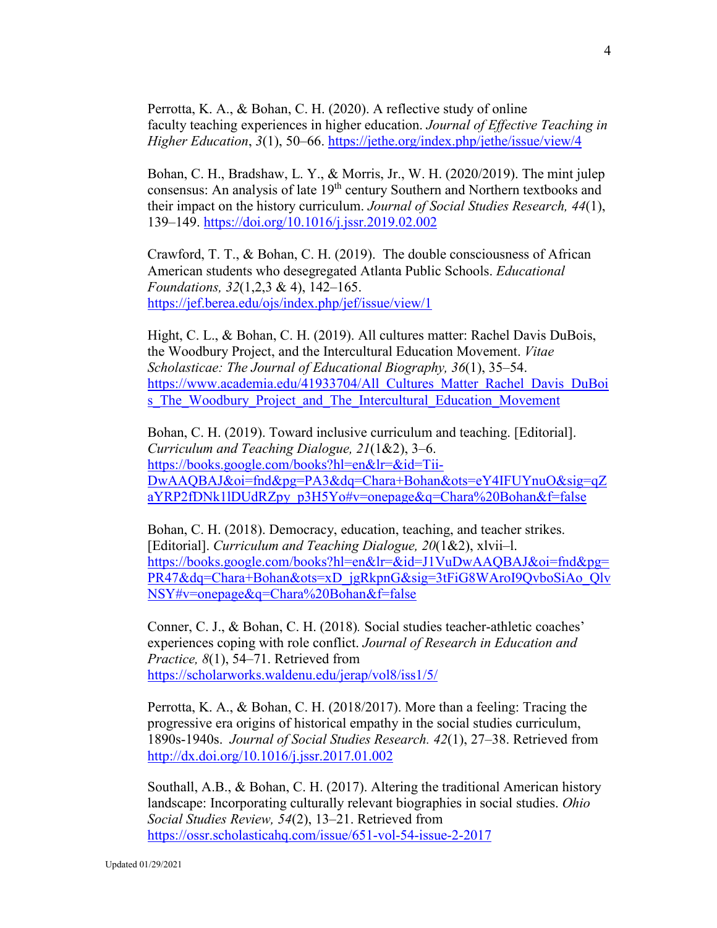Perrotta, K. A., & Bohan, C. H. (2020). A reflective study of online faculty teaching experiences in higher education. *Journal of Effective Teaching in Higher Education*, *3*(1), 50–66. <https://jethe.org/index.php/jethe/issue/view/4>

Bohan, C. H., Bradshaw, L. Y., & Morris, Jr., W. H. (2020/2019). The mint julep consensus: An analysis of late  $19<sup>th</sup>$  century Southern and Northern textbooks and their impact on the history curriculum. *Journal of Social Studies Research, 44*(1), 139–149.<https://doi.org/10.1016/j.jssr.2019.02.002>

Crawford, T. T., & Bohan, C. H. (2019). The double consciousness of African American students who desegregated Atlanta Public Schools. *Educational Foundations, 32*(1,2,3 & 4), 142–165. <https://jef.berea.edu/ojs/index.php/jef/issue/view/1>

Hight, C. L., & Bohan, C. H. (2019). All cultures matter: Rachel Davis DuBois, the Woodbury Project, and the Intercultural Education Movement. *Vitae Scholasticae: The Journal of Educational Biography, 36*(1), 35–54. [https://www.academia.edu/41933704/All\\_Cultures\\_Matter\\_Rachel\\_Davis\\_DuBoi](https://www.academia.edu/41933704/All_Cultures_Matter_Rachel_Davis_DuBois_The_Woodbury_Project_and_The_Intercultural_Education_Movement) s The Woodbury Project and The Intercultural Education Movement

Bohan, C. H. (2019). Toward inclusive curriculum and teaching. [Editorial]. *Curriculum and Teaching Dialogue, 21*(1&2), 3–6. [https://books.google.com/books?hl=en&lr=&id=Tii-](https://books.google.com/books?hl=en&lr=&id=Tii-DwAAQBAJ&oi=fnd&pg=PA3&dq=Chara+Bohan&ots=eY4IFUYnuO&sig=qZaYRP2fDNk1lDUdRZpy_p3H5Yo#v=onepage&q=Chara%20Bohan&f=false)[DwAAQBAJ&oi=fnd&pg=PA3&dq=Chara+Bohan&ots=eY4IFUYnuO&sig=qZ](https://books.google.com/books?hl=en&lr=&id=Tii-DwAAQBAJ&oi=fnd&pg=PA3&dq=Chara+Bohan&ots=eY4IFUYnuO&sig=qZaYRP2fDNk1lDUdRZpy_p3H5Yo#v=onepage&q=Chara%20Bohan&f=false) [aYRP2fDNk1lDUdRZpy\\_p3H5Yo#v=onepage&q=Chara%20Bohan&f=false](https://books.google.com/books?hl=en&lr=&id=Tii-DwAAQBAJ&oi=fnd&pg=PA3&dq=Chara+Bohan&ots=eY4IFUYnuO&sig=qZaYRP2fDNk1lDUdRZpy_p3H5Yo#v=onepage&q=Chara%20Bohan&f=false)

Bohan, C. H. (2018). Democracy, education, teaching, and teacher strikes. [Editorial]. *Curriculum and Teaching Dialogue, 20*(1&2), xlvii–l. [https://books.google.com/books?hl=en&lr=&id=J1VuDwAAQBAJ&oi=fnd&pg=](https://books.google.com/books?hl=en&lr=&id=J1VuDwAAQBAJ&oi=fnd&pg=PR47&dq=Chara+Bohan&ots=xD_jgRkpnG&sig=3tFiG8WAroI9QvboSiAo_QlvNSY#v=onepage&q=Chara%20Bohan&f=false) [PR47&dq=Chara+Bohan&ots=xD\\_jgRkpnG&sig=3tFiG8WAroI9QvboSiAo\\_Qlv](https://books.google.com/books?hl=en&lr=&id=J1VuDwAAQBAJ&oi=fnd&pg=PR47&dq=Chara+Bohan&ots=xD_jgRkpnG&sig=3tFiG8WAroI9QvboSiAo_QlvNSY#v=onepage&q=Chara%20Bohan&f=false) [NSY#v=onepage&q=Chara%20Bohan&f=false](https://books.google.com/books?hl=en&lr=&id=J1VuDwAAQBAJ&oi=fnd&pg=PR47&dq=Chara+Bohan&ots=xD_jgRkpnG&sig=3tFiG8WAroI9QvboSiAo_QlvNSY#v=onepage&q=Chara%20Bohan&f=false)

Conner, C. J., & Bohan, C. H. (2018)*.* Social studies teacher-athletic coaches' experiences coping with role conflict. *Journal of Research in Education and Practice, 8*(1), 54–71. Retrieved from <https://scholarworks.waldenu.edu/jerap/vol8/iss1/5/>

Perrotta, K. A., & Bohan, C. H. (2018/2017). More than a feeling: Tracing the progressive era origins of historical empathy in the social studies curriculum, 1890s-1940s. *Journal of Social Studies Research. 42*(1), 27–38. Retrieved from <http://dx.doi.org/10.1016/j.jssr.2017.01.002>

Southall, A.B., & Bohan, C. H. (2017). Altering the traditional American history landscape: Incorporating culturally relevant biographies in social studies. *Ohio Social Studies Review, 54*(2), 13–21. Retrieved from [https://ossr.scholasticahq.com/issue/651-vol-54-issue-2-2017](https://na01.safelinks.protection.outlook.com/?url=https%3A%2F%2Fossr.scholasticahq.com%2Fissue%2F651-vol-54-issue-2-2017&data=02%7C01%7Ccbohan%40gsu.edu%7Cb2176cc84b1d4492eb6208d5c6ea8426%7C515ad73d8d5e4169895c9789dc742a70%7C0%7C0%7C636633633085323455&sdata=WXwqqhRENeLftLusr1nh8TQiR3d2IqJed4UJ6u%2FnFIs%3D&reserved=0)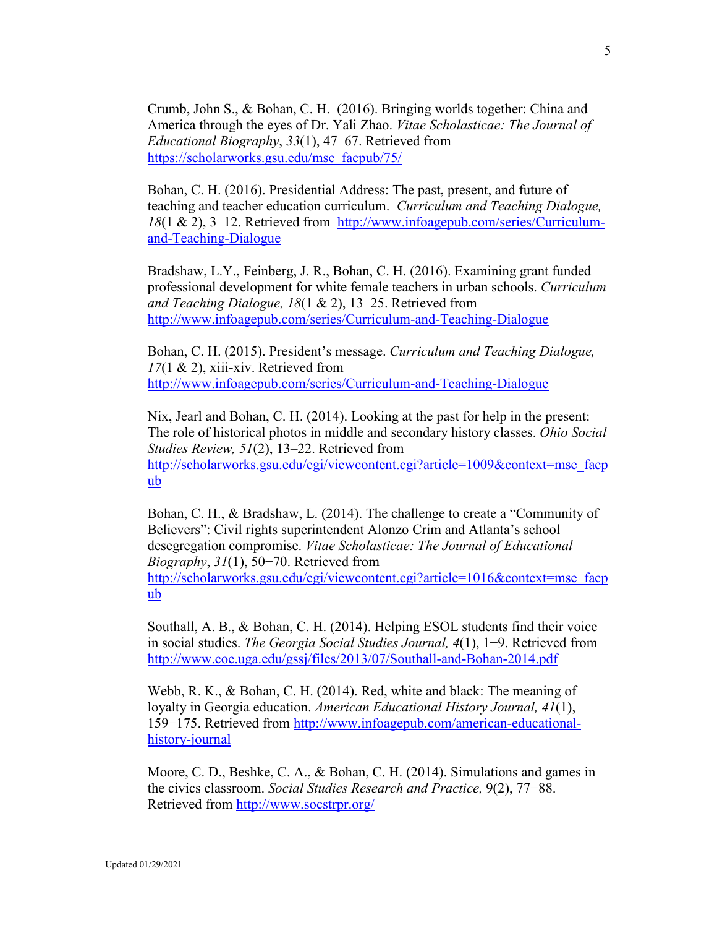Crumb, John S., & Bohan, C. H. (2016). Bringing worlds together: China and America through the eyes of Dr. Yali Zhao. *Vitae Scholasticae: The Journal of Educational Biography*, *33*(1), 47–67. Retrieved from [https://scholarworks.gsu.edu/mse\\_facpub/75/](https://scholarworks.gsu.edu/mse_facpub/75/)

Bohan, C. H. (2016). Presidential Address: The past, present, and future of teaching and teacher education curriculum. *Curriculum and Teaching Dialogue, 18*(1 & 2), 3–12. Retrieved from [http://www.infoagepub.com/series/Curriculum](http://www.infoagepub.com/series/Curriculum-and-Teaching-Dialogue)[and-Teaching-Dialogue](http://www.infoagepub.com/series/Curriculum-and-Teaching-Dialogue)

Bradshaw, L.Y., Feinberg, J. R., Bohan, C. H. (2016). Examining grant funded professional development for white female teachers in urban schools. *Curriculum and Teaching Dialogue, 18*(1 & 2), 13–25. Retrieved from <http://www.infoagepub.com/series/Curriculum-and-Teaching-Dialogue>

Bohan, C. H. (2015). President's message. *Curriculum and Teaching Dialogue, 17*(1 & 2), xiii-xiv. Retrieved from <http://www.infoagepub.com/series/Curriculum-and-Teaching-Dialogue>

Nix, Jearl and Bohan, C. H. (2014). Looking at the past for help in the present: The role of historical photos in middle and secondary history classes. *Ohio Social Studies Review, 51*(2), 13–22. Retrieved from [http://scholarworks.gsu.edu/cgi/viewcontent.cgi?article=1009&context=mse\\_facp](http://scholarworks.gsu.edu/cgi/viewcontent.cgi?article=1009&context=mse_facpub) [ub](http://scholarworks.gsu.edu/cgi/viewcontent.cgi?article=1009&context=mse_facpub)

Bohan, C. H., & Bradshaw, L. (2014). The challenge to create a "Community of Believers": Civil rights superintendent Alonzo Crim and Atlanta's school desegregation compromise. *Vitae Scholasticae: The Journal of Educational Biography*, *31*(1), 50−70. Retrieved from [http://scholarworks.gsu.edu/cgi/viewcontent.cgi?article=1016&context=mse\\_facp](http://scholarworks.gsu.edu/cgi/viewcontent.cgi?article=1016&context=mse_facpub) [ub](http://scholarworks.gsu.edu/cgi/viewcontent.cgi?article=1016&context=mse_facpub)

Southall, A. B., & Bohan, C. H. (2014). Helping ESOL students find their voice in social studies. *The Georgia Social Studies Journal, 4*(1), 1−9. Retrieved from <http://www.coe.uga.edu/gssj/files/2013/07/Southall-and-Bohan-2014.pdf>

Webb, R. K., & Bohan, C. H. (2014). Red, white and black: The meaning of loyalty in Georgia education. *American Educational History Journal, 41*(1), 159−175. Retrieved from [http://www.infoagepub.com/american-educational](http://www.infoagepub.com/american-educational-history-journal)[history-journal](http://www.infoagepub.com/american-educational-history-journal)

Moore, C. D., Beshke, C. A., & Bohan, C. H. (2014). Simulations and games in the civics classroom. *Social Studies Research and Practice,* 9(2), 77−88. Retrieved from<http://www.socstrpr.org/>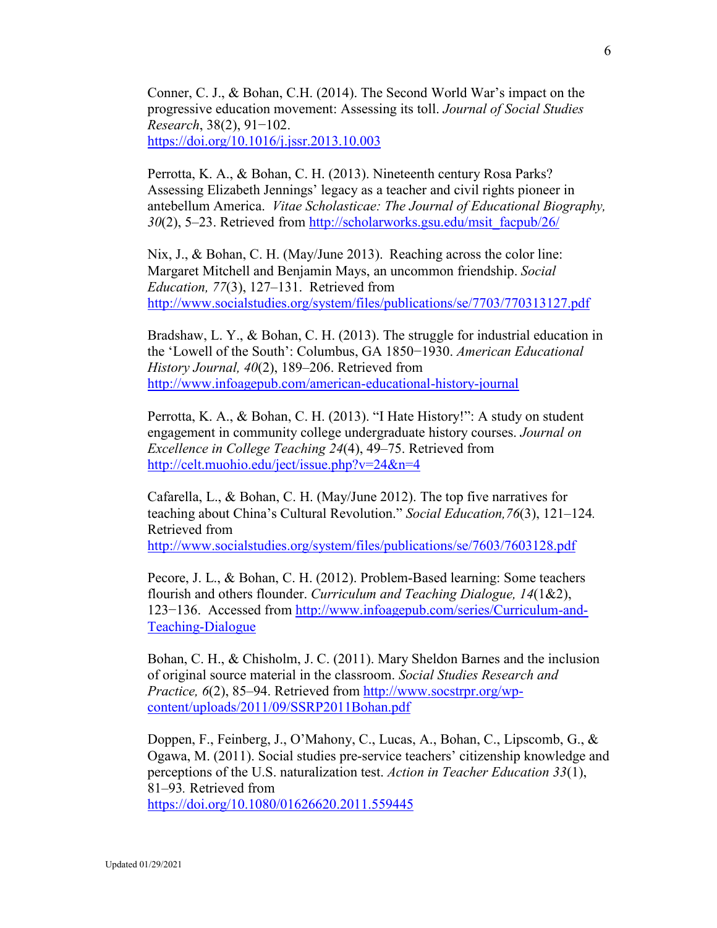Conner, C. J., & Bohan, C.H. (2014). The Second World War's impact on the progressive education movement: Assessing its toll. *Journal of Social Studies Research*, 38(2), 91−102. <https://doi.org/10.1016/j.jssr.2013.10.003>

Perrotta, K. A., & Bohan, C. H. (2013). Nineteenth century Rosa Parks? Assessing Elizabeth Jennings' legacy as a teacher and civil rights pioneer in antebellum America. *Vitae Scholasticae: The Journal of Educational Biography, 30*(2), 5–23. Retrieved from [http://scholarworks.gsu.edu/msit\\_facpub/26/](http://scholarworks.gsu.edu/msit_facpub/26/)

Nix, J., & Bohan, C. H. (May/June 2013). Reaching across the color line: Margaret Mitchell and Benjamin Mays, an uncommon friendship. *Social Education, 77*(3), 127–131. Retrieved from <http://www.socialstudies.org/system/files/publications/se/7703/770313127.pdf>

Bradshaw, L. Y., & Bohan, C. H. (2013). The struggle for industrial education in the 'Lowell of the South': Columbus, GA 1850−1930. *American Educational History Journal, 40*(2), 189–206. Retrieved from <http://www.infoagepub.com/american-educational-history-journal>

Perrotta, K. A., & Bohan, C. H. (2013). "I Hate History!": A study on student engagement in community college undergraduate history courses. *Journal on Excellence in College Teaching 24*(4), 49–75. Retrieved from <http://celt.muohio.edu/ject/issue.php?v=24&n=4>

Cafarella, L., & Bohan, C. H. (May/June 2012). The top five narratives for teaching about China's Cultural Revolution." *Social Education,76*(3), 121–124*.* Retrieved from

<http://www.socialstudies.org/system/files/publications/se/7603/7603128.pdf>

Pecore, J. L., & Bohan, C. H. (2012). Problem-Based learning: Some teachers flourish and others flounder. *Curriculum and Teaching Dialogue, 14*(1&2), 123−136. Accessed from [http://www.infoagepub.com/series/Curriculum-and-](http://www.infoagepub.com/series/Curriculum-and-Teaching-Dialogue)[Teaching-Dialogue](http://www.infoagepub.com/series/Curriculum-and-Teaching-Dialogue)

Bohan, C. H., & Chisholm, J. C. (2011). Mary Sheldon Barnes and the inclusion of original source material in the classroom. *Social Studies Research and Practice, 6*(2), 85–94. Retrieved from [http://www.socstrpr.org/wp](http://www.socstrpr.org/wp-content/uploads/2011/09/SSRP2011Bohan.pdf)[content/uploads/2011/09/SSRP2011Bohan.pdf](http://www.socstrpr.org/wp-content/uploads/2011/09/SSRP2011Bohan.pdf)

Doppen, F., Feinberg, J., O'Mahony, C., Lucas, A., Bohan, C., Lipscomb, G., & Ogawa, M. (2011). Social studies pre-service teachers' citizenship knowledge and perceptions of the U.S. naturalization test. *Action in Teacher Education 33*(1), 81–93*.* Retrieved from

<https://doi.org/10.1080/01626620.2011.559445>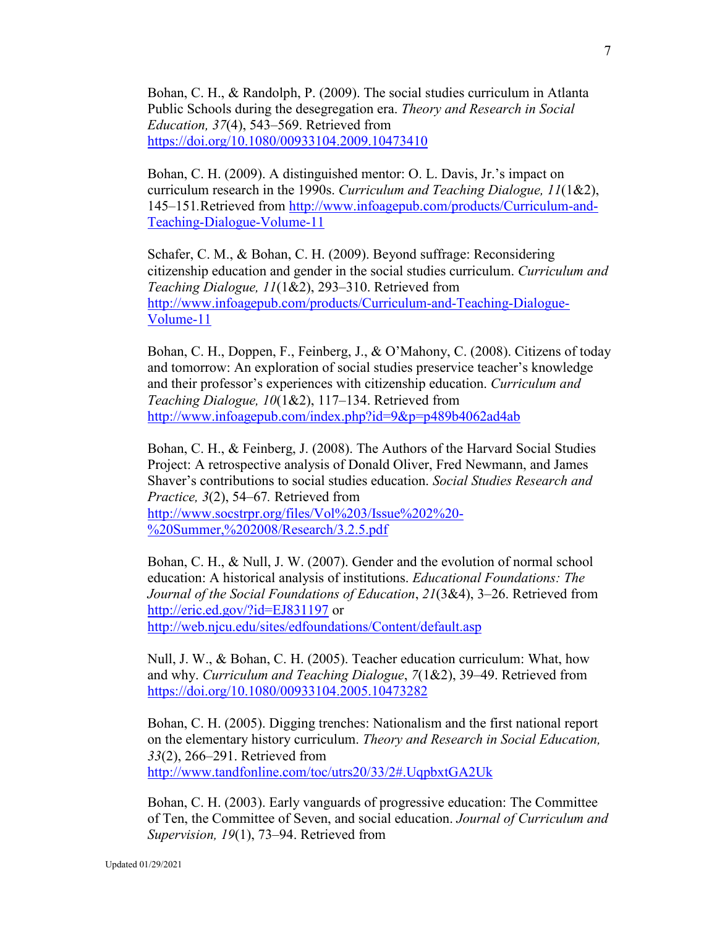Bohan, C. H., & Randolph, P. (2009). The social studies curriculum in Atlanta Public Schools during the desegregation era. *Theory and Research in Social Education, 37*(4), 543–569. Retrieved from <https://doi.org/10.1080/00933104.2009.10473410>

Bohan, C. H. (2009). A distinguished mentor: O. L. Davis, Jr.'s impact on curriculum research in the 1990s. *Curriculum and Teaching Dialogue, 11*(1&2), 145–151*.*Retrieved from [http://www.infoagepub.com/products/Curriculum-and-](http://www.infoagepub.com/products/Curriculum-and-Teaching-Dialogue-Volume-11)[Teaching-Dialogue-Volume-11](http://www.infoagepub.com/products/Curriculum-and-Teaching-Dialogue-Volume-11)

Schafer, C. M., & Bohan, C. H. (2009). Beyond suffrage: Reconsidering citizenship education and gender in the social studies curriculum. *Curriculum and Teaching Dialogue, 11*(1&2), 293–310. Retrieved from [http://www.infoagepub.com/products/Curriculum-and-Teaching-Dialogue-](http://www.infoagepub.com/products/Curriculum-and-Teaching-Dialogue-Volume-11)[Volume-11](http://www.infoagepub.com/products/Curriculum-and-Teaching-Dialogue-Volume-11)

Bohan, C. H., Doppen, F., Feinberg, J., & O'Mahony, C. (2008). Citizens of today and tomorrow: An exploration of social studies preservice teacher's knowledge and their professor's experiences with citizenship education. *Curriculum and Teaching Dialogue, 10*(1&2), 117–134. Retrieved from <http://www.infoagepub.com/index.php?id=9&p=p489b4062ad4ab>

Bohan, C. H., & Feinberg, J. (2008). The Authors of the Harvard Social Studies Project: A retrospective analysis of Donald Oliver, Fred Newmann, and James Shaver's contributions to social studies education. *Social Studies Research and Practice, 3*(2), 54–67*.* Retrieved from [http://www.socstrpr.org/files/Vol%203/Issue%202%20-](http://www.socstrpr.org/files/Vol%203/Issue%202%20-%20Summer,%202008/Research/3.2.5.pdf) [%20Summer,%202008/Research/3.2.5.pdf](http://www.socstrpr.org/files/Vol%203/Issue%202%20-%20Summer,%202008/Research/3.2.5.pdf)

Bohan, C. H., & Null, J. W. (2007). Gender and the evolution of normal school education: A historical analysis of institutions. *Educational Foundations: The Journal of the Social Foundations of Education*, *21*(3&4), 3–26. Retrieved from <http://eric.ed.gov/?id=EJ831197> or <http://web.njcu.edu/sites/edfoundations/Content/default.asp>

Null, J. W., & Bohan, C. H. (2005). Teacher education curriculum: What, how and why. *Curriculum and Teaching Dialogue*, *7*(1&2), 39–49. Retrieved from <https://doi.org/10.1080/00933104.2005.10473282>

Bohan, C. H. (2005). Digging trenches: Nationalism and the first national report on the elementary history curriculum. *Theory and Research in Social Education, 33*(2), 266–291. Retrieved from <http://www.tandfonline.com/toc/utrs20/33/2#.UqpbxtGA2Uk>

Bohan, C. H. (2003). Early vanguards of progressive education: The Committee of Ten, the Committee of Seven, and social education. *Journal of Curriculum and Supervision, 19*(1), 73–94. Retrieved from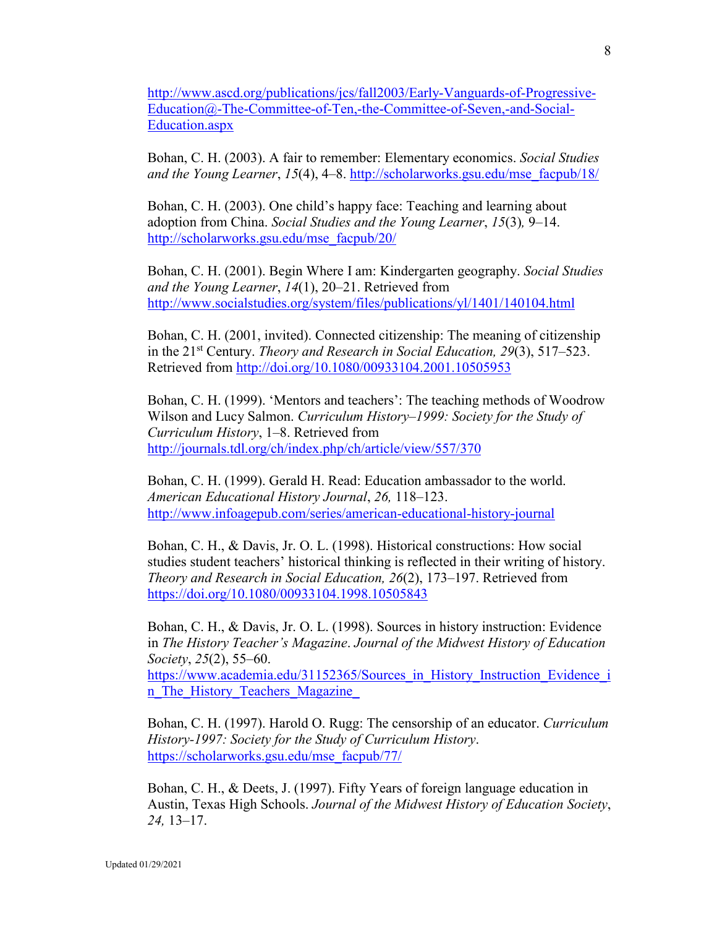[http://www.ascd.org/publications/jcs/fall2003/Early-Vanguards-of-Progressive-](http://www.ascd.org/publications/jcs/fall2003/Early-Vanguards-of-Progressive-Education@-The-Committee-of-Ten,-the-Committee-of-Seven,-and-Social-Education.aspx)[Education@-The-Committee-of-Ten,-the-Committee-of-Seven,-and-Social-](http://www.ascd.org/publications/jcs/fall2003/Early-Vanguards-of-Progressive-Education@-The-Committee-of-Ten,-the-Committee-of-Seven,-and-Social-Education.aspx)[Education.aspx](http://www.ascd.org/publications/jcs/fall2003/Early-Vanguards-of-Progressive-Education@-The-Committee-of-Ten,-the-Committee-of-Seven,-and-Social-Education.aspx)

Bohan, C. H. (2003). A fair to remember: Elementary economics. *Social Studies and the Young Learner*, *15*(4), 4–8. [http://scholarworks.gsu.edu/mse\\_facpub/18/](http://scholarworks.gsu.edu/mse_facpub/18/)

Bohan, C. H. (2003). One child's happy face: Teaching and learning about adoption from China. *Social Studies and the Young Learner*, *15*(3)*,* 9–14. [http://scholarworks.gsu.edu/mse\\_facpub/20/](http://scholarworks.gsu.edu/mse_facpub/20/)

Bohan, C. H. (2001). Begin Where I am: Kindergarten geography. *Social Studies and the Young Learner*, *14*(1), 20–21. Retrieved from <http://www.socialstudies.org/system/files/publications/yl/1401/140104.html>

Bohan, C. H. (2001, invited). Connected citizenship: The meaning of citizenship in the 21<sup>st</sup> Century. *Theory and Research in Social Education, 29*(3), 517–523. Retrieved from<http://doi.org/10.1080/00933104.2001.10505953>

Bohan, C. H. (1999). 'Mentors and teachers': The teaching methods of Woodrow Wilson and Lucy Salmon. *Curriculum History–1999: Society for the Study of Curriculum History*, 1–8. Retrieved from <http://journals.tdl.org/ch/index.php/ch/article/view/557/370>

Bohan, C. H. (1999). Gerald H. Read: Education ambassador to the world. *American Educational History Journal*, *26,* 118–123. <http://www.infoagepub.com/series/american-educational-history-journal>

Bohan, C. H., & Davis, Jr. O. L. (1998). Historical constructions: How social studies student teachers' historical thinking is reflected in their writing of history. *Theory and Research in Social Education, 26*(2), 173–197. Retrieved from <https://doi.org/10.1080/00933104.1998.10505843>

Bohan, C. H., & Davis, Jr. O. L. (1998). Sources in history instruction: Evidence in *The History Teacher's Magazine*. *Journal of the Midwest History of Education Society*, *25*(2), 55–60.

[https://www.academia.edu/31152365/Sources\\_in\\_History\\_Instruction\\_Evidence\\_i](https://www.academia.edu/31152365/Sources_in_History_Instruction_Evidence_in_The_History_Teachers_Magazine_) n The History Teachers Magazine

Bohan, C. H. (1997). Harold O. Rugg: The censorship of an educator. *Curriculum History-1997: Society for the Study of Curriculum History*. [https://scholarworks.gsu.edu/mse\\_facpub/77/](https://scholarworks.gsu.edu/mse_facpub/77/)

Bohan, C. H., & Deets, J. (1997). Fifty Years of foreign language education in Austin, Texas High Schools. *Journal of the Midwest History of Education Society*, *24,* 13–17.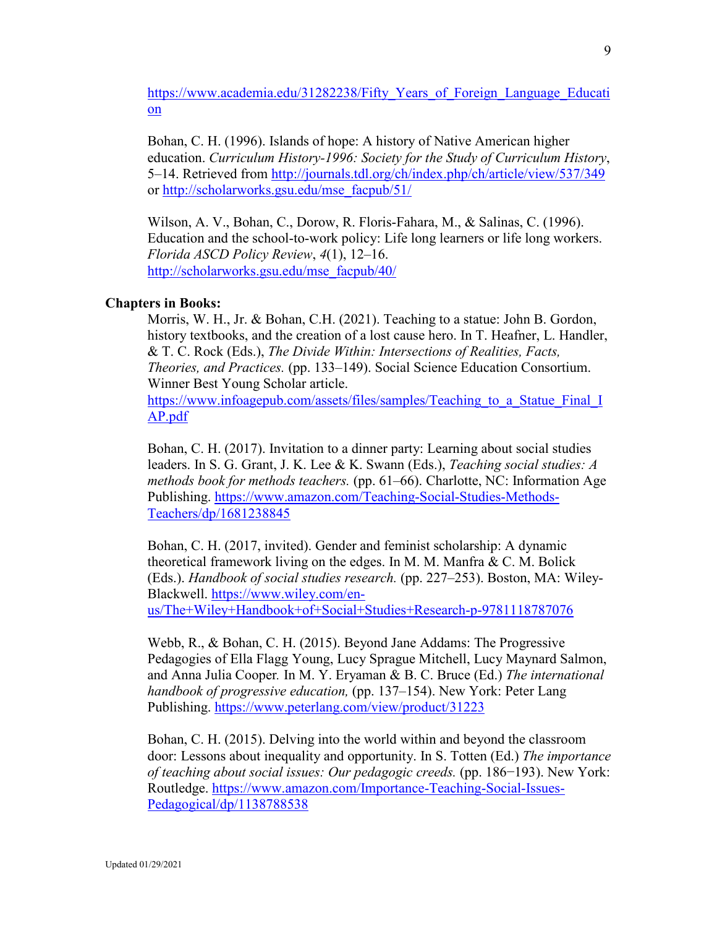[https://www.academia.edu/31282238/Fifty\\_Years\\_of\\_Foreign\\_Language\\_Educati](https://www.academia.edu/31282238/Fifty_Years_of_Foreign_Language_Education) [on](https://www.academia.edu/31282238/Fifty_Years_of_Foreign_Language_Education)

Bohan, C. H. (1996). Islands of hope: A history of Native American higher education. *Curriculum History-1996: Society for the Study of Curriculum History*, 5–14. Retrieved from<http://journals.tdl.org/ch/index.php/ch/article/view/537/349> or [http://scholarworks.gsu.edu/mse\\_facpub/51/](http://scholarworks.gsu.edu/mse_facpub/51/)

Wilson, A. V., Bohan, C., Dorow, R. Floris-Fahara, M., & Salinas, C. (1996). Education and the school-to-work policy: Life long learners or life long workers. *Florida ASCD Policy Review*, *4*(1), 12–16. [http://scholarworks.gsu.edu/mse\\_facpub/40/](http://scholarworks.gsu.edu/mse_facpub/40/)

### **Chapters in Books:**

Morris, W. H., Jr. & Bohan, C.H. (2021). Teaching to a statue: John B. Gordon, history textbooks, and the creation of a lost cause hero. In T. Heafner, L. Handler, & T. C. Rock (Eds.), *The Divide Within: Intersections of Realities, Facts, Theories, and Practices.* (pp. 133–149). Social Science Education Consortium. Winner Best Young Scholar article.

https://www.infoagepub.com/assets/files/samples/Teaching to a Statue Final I [AP.pdf](https://www.infoagepub.com/assets/files/samples/Teaching_to_a_Statue_Final_IAP.pdf)

Bohan, C. H. (2017). Invitation to a dinner party: Learning about social studies leaders. In S. G. Grant, J. K. Lee & K. Swann (Eds.), *Teaching social studies: A methods book for methods teachers.* (pp. 61–66). Charlotte, NC: Information Age Publishing. [https://www.amazon.com/Teaching-Social-Studies-Methods-](https://www.amazon.com/Teaching-Social-Studies-Methods-Teachers/dp/1681238845)[Teachers/dp/1681238845](https://www.amazon.com/Teaching-Social-Studies-Methods-Teachers/dp/1681238845)

Bohan, C. H. (2017, invited). Gender and feminist scholarship: A dynamic theoretical framework living on the edges. In M. M. Manfra & C. M. Bolick (Eds.). *Handbook of social studies research.* (pp. 227–253). Boston, MA: Wiley-Blackwell. [https://www.wiley.com/en](https://www.wiley.com/en-us/The+Wiley+Handbook+of+Social+Studies+Research-p-9781118787076)[us/The+Wiley+Handbook+of+Social+Studies+Research-p-9781118787076](https://www.wiley.com/en-us/The+Wiley+Handbook+of+Social+Studies+Research-p-9781118787076)

Webb, R., & Bohan, C. H. (2015). Beyond Jane Addams: The Progressive Pedagogies of Ella Flagg Young, Lucy Sprague Mitchell, Lucy Maynard Salmon, and Anna Julia Cooper*.* In M. Y. Eryaman & B. C. Bruce (Ed.) *The international handbook of progressive education,* (pp. 137–154). New York: Peter Lang Publishing. <https://www.peterlang.com/view/product/31223>

Bohan, C. H. (2015). Delving into the world within and beyond the classroom door: Lessons about inequality and opportunity. In S. Totten (Ed.) *The importance of teaching about social issues: Our pedagogic creeds.* (pp. 186−193). New York: Routledge. [https://www.amazon.com/Importance-Teaching-Social-Issues-](https://www.amazon.com/Importance-Teaching-Social-Issues-Pedagogical/dp/1138788538)[Pedagogical/dp/1138788538](https://www.amazon.com/Importance-Teaching-Social-Issues-Pedagogical/dp/1138788538)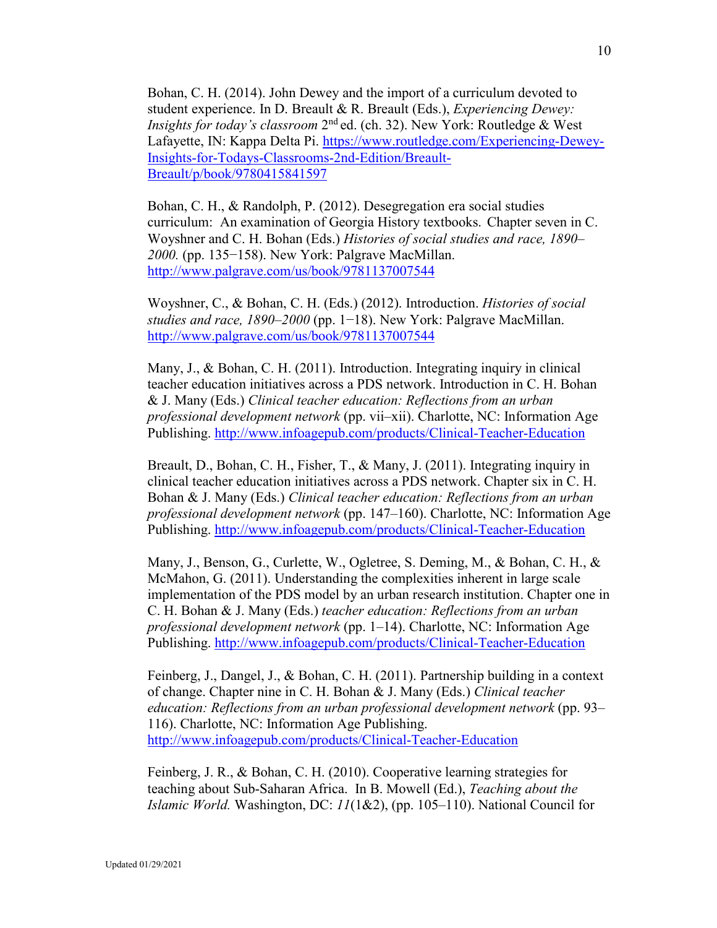Bohan, C. H. (2014). John Dewey and the import of a curriculum devoted to student experience. In D. Breault & R. Breault (Eds.), *Experiencing Dewey: Insights for today's classroom* 2nd ed. (ch. 32). New York: Routledge & West Lafayette, IN: Kappa Delta Pi. [https://www.routledge.com/Experiencing-Dewey-](https://www.routledge.com/Experiencing-Dewey-Insights-for-Todays-Classrooms-2nd-Edition/Breault-Breault/p/book/9780415841597)[Insights-for-Todays-Classrooms-2nd-Edition/Breault-](https://www.routledge.com/Experiencing-Dewey-Insights-for-Todays-Classrooms-2nd-Edition/Breault-Breault/p/book/9780415841597)[Breault/p/book/9780415841597](https://www.routledge.com/Experiencing-Dewey-Insights-for-Todays-Classrooms-2nd-Edition/Breault-Breault/p/book/9780415841597)

Bohan, C. H., & Randolph, P. (2012). Desegregation era social studies curriculum: An examination of Georgia History textbooks. Chapter seven in C. Woyshner and C. H. Bohan (Eds.) *Histories of social studies and race, 1890–* 2000. (pp. 135–158). New York: Palgrave MacMillan. <http://www.palgrave.com/us/book/9781137007544>

Woyshner, C., & Bohan, C. H. (Eds.) (2012). Introduction. *Histories of social studies and race, 1890–2000* (pp. 1−18). New York: Palgrave MacMillan. <http://www.palgrave.com/us/book/9781137007544>

Many, J., & Bohan, C. H. (2011). Introduction. Integrating inquiry in clinical teacher education initiatives across a PDS network. Introduction in C. H. Bohan & J. Many (Eds.) *Clinical teacher education: Reflections from an urban professional development network* (pp. vii–xii). Charlotte, NC: Information Age Publishing. <http://www.infoagepub.com/products/Clinical-Teacher-Education>

Breault, D., Bohan, C. H., Fisher, T., & Many, J. (2011). Integrating inquiry in clinical teacher education initiatives across a PDS network. Chapter six in C. H. Bohan & J. Many (Eds.) *Clinical teacher education: Reflections from an urban professional development network* (pp. 147–160). Charlotte, NC: Information Age Publishing. <http://www.infoagepub.com/products/Clinical-Teacher-Education>

Many, J., Benson, G., Curlette, W., Ogletree, S. Deming, M., & Bohan, C. H., & McMahon, G. (2011). Understanding the complexities inherent in large scale implementation of the PDS model by an urban research institution. Chapter one in C. H. Bohan & J. Many (Eds.) *teacher education: Reflections from an urban professional development network* (pp. 1–14). Charlotte, NC: Information Age Publishing. <http://www.infoagepub.com/products/Clinical-Teacher-Education>

Feinberg, J., Dangel, J., & Bohan, C. H. (2011). Partnership building in a context of change. Chapter nine in C. H. Bohan & J. Many (Eds.) *Clinical teacher education: Reflections from an urban professional development network* (pp. 93– 116). Charlotte, NC: Information Age Publishing. <http://www.infoagepub.com/products/Clinical-Teacher-Education>

Feinberg, J. R., & Bohan, C. H. (2010). Cooperative learning strategies for teaching about Sub-Saharan Africa. In B. Mowell (Ed.), *Teaching about the Islamic World.* Washington, DC: *11*(1&2), (pp. 105–110). National Council for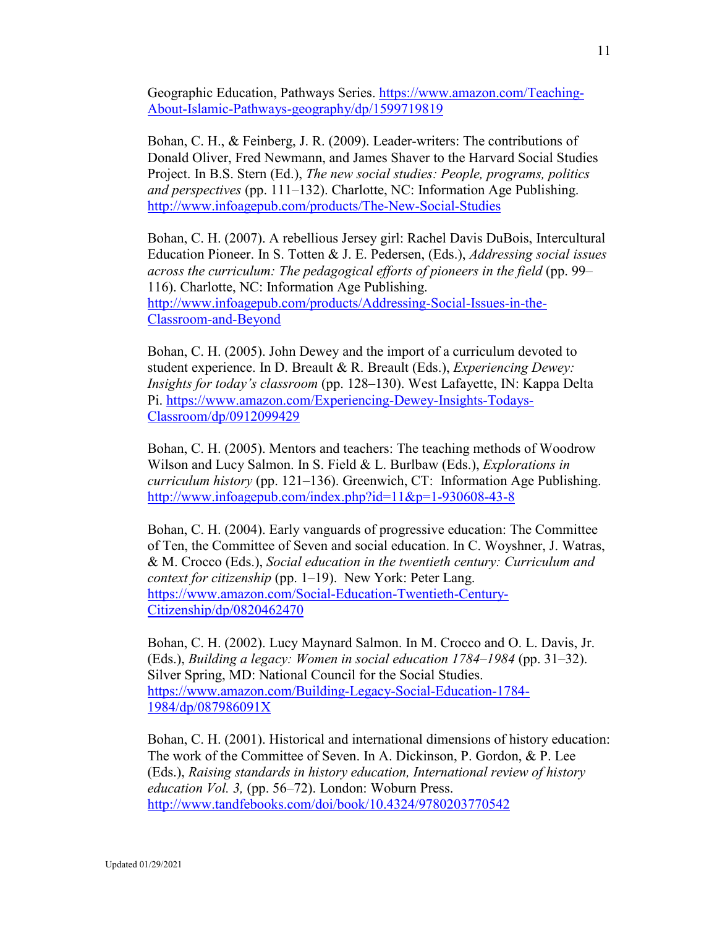Geographic Education, Pathways Series. [https://www.amazon.com/Teaching-](https://www.amazon.com/Teaching-About-Islamic-Pathways-geography/dp/1599719819)[About-Islamic-Pathways-geography/dp/1599719819](https://www.amazon.com/Teaching-About-Islamic-Pathways-geography/dp/1599719819)

Bohan, C. H., & Feinberg, J. R. (2009). Leader-writers: The contributions of Donald Oliver, Fred Newmann, and James Shaver to the Harvard Social Studies Project. In B.S. Stern (Ed.), *The new social studies: People, programs, politics and perspectives* (pp. 111–132). Charlotte, NC: Information Age Publishing. <http://www.infoagepub.com/products/The-New-Social-Studies>

Bohan, C. H. (2007). A rebellious Jersey girl: Rachel Davis DuBois, Intercultural Education Pioneer. In S. Totten & J. E. Pedersen, (Eds.), *Addressing social issues across the curriculum: The pedagogical efforts of pioneers in the field* (pp. 99– 116). Charlotte, NC: Information Age Publishing. [http://www.infoagepub.com/products/Addressing-Social-Issues-in-the-](http://www.infoagepub.com/products/Addressing-Social-Issues-in-the-Classroom-and-Beyond)[Classroom-and-Beyond](http://www.infoagepub.com/products/Addressing-Social-Issues-in-the-Classroom-and-Beyond)

Bohan, C. H. (2005). John Dewey and the import of a curriculum devoted to student experience. In D. Breault & R. Breault (Eds.), *Experiencing Dewey: Insights for today's classroom* (pp. 128–130). West Lafayette, IN: Kappa Delta Pi. [https://www.amazon.com/Experiencing-Dewey-Insights-Todays-](https://www.amazon.com/Experiencing-Dewey-Insights-Todays-Classroom/dp/0912099429)[Classroom/dp/0912099429](https://www.amazon.com/Experiencing-Dewey-Insights-Todays-Classroom/dp/0912099429)

Bohan, C. H. (2005). Mentors and teachers: The teaching methods of Woodrow Wilson and Lucy Salmon. In S. Field & L. Burlbaw (Eds.), *Explorations in curriculum history* (pp. 121–136). Greenwich, CT: Information Age Publishing. <http://www.infoagepub.com/index.php?id=11&p=1-930608-43-8>

Bohan, C. H. (2004). Early vanguards of progressive education: The Committee of Ten, the Committee of Seven and social education. In C. Woyshner, J. Watras, & M. Crocco (Eds.), *Social education in the twentieth century: Curriculum and context for citizenship* (pp. 1–19). New York: Peter Lang. [https://www.amazon.com/Social-Education-Twentieth-Century-](https://www.amazon.com/Social-Education-Twentieth-Century-Citizenship/dp/0820462470)[Citizenship/dp/0820462470](https://www.amazon.com/Social-Education-Twentieth-Century-Citizenship/dp/0820462470)

Bohan, C. H. (2002). Lucy Maynard Salmon. In M. Crocco and O. L. Davis, Jr. (Eds.), *Building a legacy: Women in social education 1784–1984* (pp. 31–32). Silver Spring, MD: National Council for the Social Studies. [https://www.amazon.com/Building-Legacy-Social-Education-1784-](https://www.amazon.com/Building-Legacy-Social-Education-1784-1984/dp/087986091X) [1984/dp/087986091X](https://www.amazon.com/Building-Legacy-Social-Education-1784-1984/dp/087986091X)

Bohan, C. H. (2001). Historical and international dimensions of history education: The work of the Committee of Seven. In A. Dickinson, P. Gordon, & P. Lee (Eds.), *Raising standards in history education, International review of history education Vol. 3,* (pp. 56–72). London: Woburn Press. <http://www.tandfebooks.com/doi/book/10.4324/9780203770542>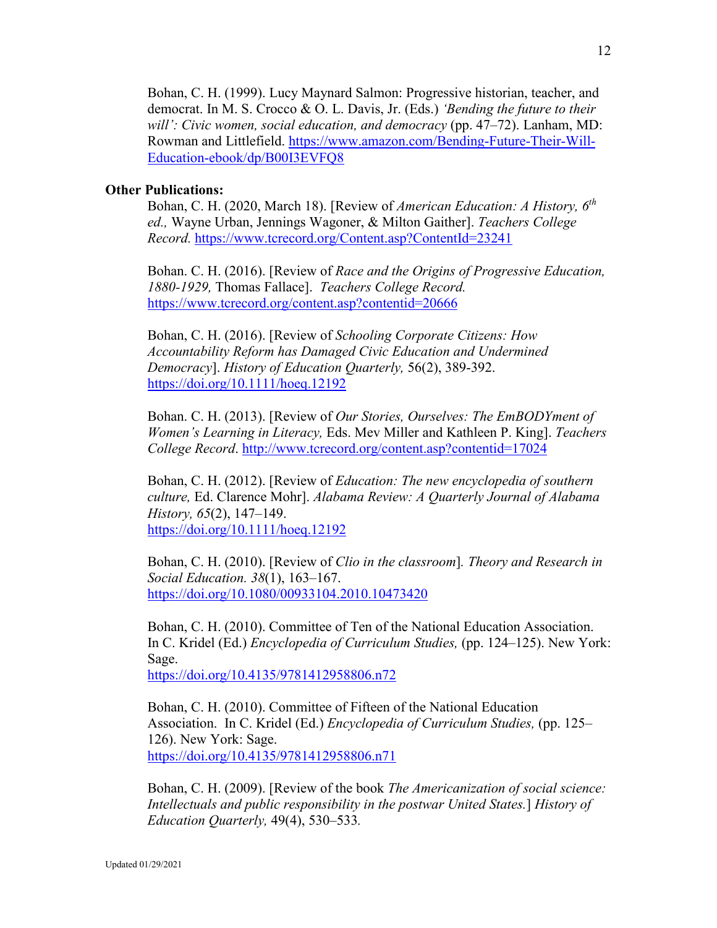Bohan, C. H. (1999). Lucy Maynard Salmon: Progressive historian, teacher, and democrat. In M. S. Crocco & O. L. Davis, Jr. (Eds.) *'Bending the future to their will': Civic women, social education, and democracy* (pp. 47–72). Lanham, MD: Rowman and Littlefield. [https://www.amazon.com/Bending-Future-Their-Will-](https://www.amazon.com/Bending-Future-Their-Will-Education-ebook/dp/B00I3EVFQ8)[Education-ebook/dp/B00I3EVFQ8](https://www.amazon.com/Bending-Future-Their-Will-Education-ebook/dp/B00I3EVFQ8)

# **Other Publications:**

Bohan, C. H. (2020, March 18). [Review of *American Education: A History, 6th ed.,* Wayne Urban, Jennings Wagoner, & Milton Gaither]. *Teachers College Record.* <https://www.tcrecord.org/Content.asp?ContentId=23241>

Bohan. C. H. (2016). [Review of *Race and the Origins of Progressive Education, 1880-1929,* Thomas Fallace]. *Teachers College Record.* <https://www.tcrecord.org/content.asp?contentid=20666>

Bohan, C. H. (2016). [Review of *Schooling Corporate Citizens: How Accountability Reform has Damaged Civic Education and Undermined Democracy*]. *History of Education Quarterly,* 56(2), 389-392. [https://doi.org/10.1111/hoeq.12192](https://na01.safelinks.protection.outlook.com/?url=https%3A%2F%2Fdoi.org%2F10.1111%2Fhoeq.12192&data=02%7C01%7Ccbohan%40gsu.edu%7Cdeb1738d7f544c90c1da08d69b5d597d%7C515ad73d8d5e4169895c9789dc742a70%7C0%7C0%7C636867222568077680&sdata=2kosrrb6dWdhlJYlTkZeZVOXhu%2BZSH81hcK1826hU3c%3D&reserved=0)

Bohan. C. H. (2013). [Review of *Our Stories, Ourselves: The EmBODYment of Women's Learning in Literacy,* Eds. Mev Miller and Kathleen P. King]. *Teachers College Record*. <http://www.tcrecord.org/content.asp?contentid=17024>

Bohan, C. H. (2012). [Review of *Education: The new encyclopedia of southern culture,* Ed. Clarence Mohr]. *Alabama Review: A Quarterly Journal of Alabama History, 65*(2), 147–149. <https://doi.org/10.1111/hoeq.12192>

Bohan, C. H. (2010). [Review of *Clio in the classroom*]*. Theory and Research in Social Education. 38*(1), 163–167. <https://doi.org/10.1080/00933104.2010.10473420>

Bohan, C. H. (2010). Committee of Ten of the National Education Association. In C. Kridel (Ed.) *Encyclopedia of Curriculum Studies,* (pp. 124–125). New York: Sage. <https://doi.org/10.4135/9781412958806.n72>

Bohan, C. H. (2010). Committee of Fifteen of the National Education Association. In C. Kridel (Ed.) *Encyclopedia of Curriculum Studies,* (pp. 125– 126). New York: Sage. <https://doi.org/10.4135/9781412958806.n71>

Bohan, C. H. (2009). [Review of the book *The Americanization of social science: Intellectuals and public responsibility in the postwar United States.*] *History of Education Quarterly,* 49(4), 530–533*.*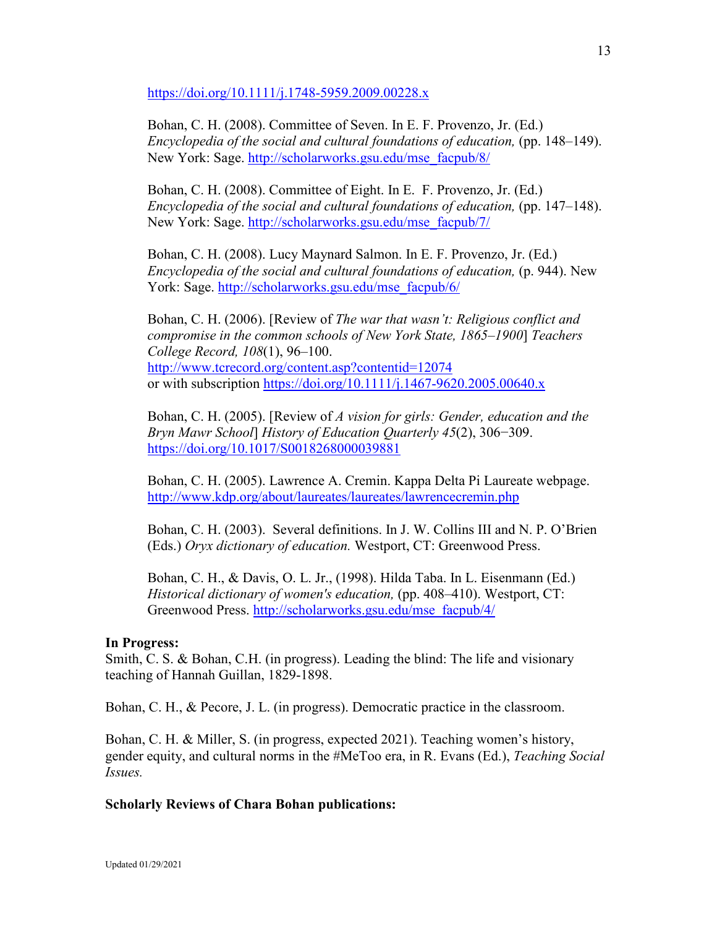<https://doi.org/10.1111/j.1748-5959.2009.00228.x>

Bohan, C. H. (2008). Committee of Seven. In E. F. Provenzo, Jr. (Ed.) *Encyclopedia of the social and cultural foundations of education,* (pp. 148–149). New York: Sage. [http://scholarworks.gsu.edu/mse\\_facpub/8/](http://scholarworks.gsu.edu/mse_facpub/8/)

Bohan, C. H. (2008). Committee of Eight. In E. F. Provenzo, Jr. (Ed.) *Encyclopedia of the social and cultural foundations of education, (pp. 147–148).* New York: Sage. [http://scholarworks.gsu.edu/mse\\_facpub/7/](http://scholarworks.gsu.edu/mse_facpub/7/)

Bohan, C. H. (2008). Lucy Maynard Salmon. In E. F. Provenzo, Jr. (Ed.) *Encyclopedia of the social and cultural foundations of education, (p. 944). New* York: Sage. [http://scholarworks.gsu.edu/mse\\_facpub/6/](http://scholarworks.gsu.edu/mse_facpub/6/)

Bohan, C. H. (2006). [Review of *The war that wasn't: Religious conflict and compromise in the common schools of New York State, 1865–1900*] *Teachers College Record, 108*(1), 96–100. <http://www.tcrecord.org/content.asp?contentid=12074> or with subscription [https://doi.org/10.1111/j.1467-9620.2005.00640.x](https://na01.safelinks.protection.outlook.com/?url=https%3A%2F%2Fdoi.org%2F10.1111%2Fj.1467-9620.2005.00640.x&data=02%7C01%7Ccbohan%40gsu.edu%7Cdeb1738d7f544c90c1da08d69b5d597d%7C515ad73d8d5e4169895c9789dc742a70%7C0%7C0%7C636867222568087693&sdata=4%2FWieY2v6R8QjgoltVUhmSQqgXsR2vHLEzxyP%2FphnKk%3D&reserved=0)

Bohan, C. H. (2005). [Review of *A vision for girls: Gender, education and the Bryn Mawr School*] *History of Education Quarterly 45*(2), 306−309. <https://doi.org/10.1017/S0018268000039881>

Bohan, C. H. (2005). Lawrence A. Cremin. Kappa Delta Pi Laureate webpage. <http://www.kdp.org/about/laureates/laureates/lawrencecremin.php>

Bohan, C. H. (2003). Several definitions. In J. W. Collins III and N. P. O'Brien (Eds.) *Oryx dictionary of education.* Westport, CT: Greenwood Press.

Bohan, C. H., & Davis, O. L. Jr., (1998). Hilda Taba. In L. Eisenmann (Ed.) *Historical dictionary of women's education,* (pp. 408–410). Westport, CT: Greenwood Press. [http://scholarworks.gsu.edu/mse\\_facpub/4/](http://scholarworks.gsu.edu/mse_facpub/4/)

#### **In Progress:**

Smith, C. S. & Bohan, C.H. (in progress). Leading the blind: The life and visionary teaching of Hannah Guillan, 1829-1898.

Bohan, C. H., & Pecore, J. L. (in progress). Democratic practice in the classroom.

Bohan, C. H. & Miller, S. (in progress, expected 2021). Teaching women's history, gender equity, and cultural norms in the #MeToo era, in R. Evans (Ed.), *Teaching Social Issues.*

### **Scholarly Reviews of Chara Bohan publications:**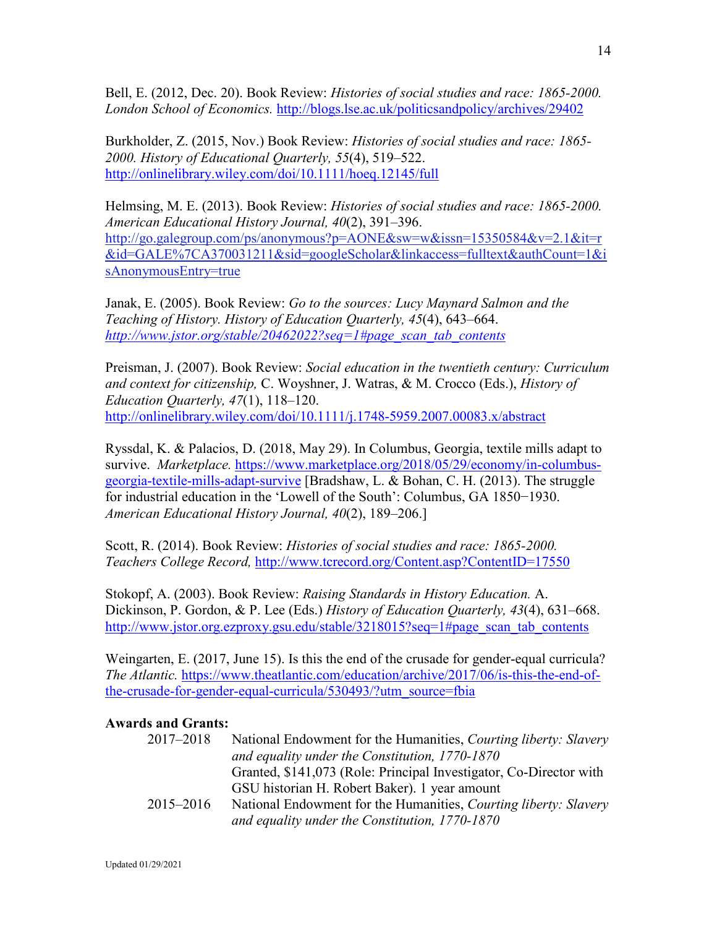Bell, E. (2012, Dec. 20). Book Review: *Histories of social studies and race: 1865-2000. London School of Economics.* <http://blogs.lse.ac.uk/politicsandpolicy/archives/29402>

Burkholder, Z. (2015, Nov.) Book Review: *Histories of social studies and race: 1865- 2000. History of Educational Quarterly, 55*(4), 519–522. <http://onlinelibrary.wiley.com/doi/10.1111/hoeq.12145/full>

Helmsing, M. E. (2013). Book Review: *Histories of social studies and race: 1865-2000. American Educational History Journal, 40*(2), 391–396. [http://go.galegroup.com/ps/anonymous?p=AONE&sw=w&issn=15350584&v=2.1&it=r](http://go.galegroup.com/ps/anonymous?p=AONE&sw=w&issn=15350584&v=2.1&it=r&id=GALE%7CA370031211&sid=googleScholar&linkaccess=fulltext&authCount=1&isAnonymousEntry=true) [&id=GALE%7CA370031211&sid=googleScholar&linkaccess=fulltext&authCount=1&i](http://go.galegroup.com/ps/anonymous?p=AONE&sw=w&issn=15350584&v=2.1&it=r&id=GALE%7CA370031211&sid=googleScholar&linkaccess=fulltext&authCount=1&isAnonymousEntry=true) [sAnonymousEntry=true](http://go.galegroup.com/ps/anonymous?p=AONE&sw=w&issn=15350584&v=2.1&it=r&id=GALE%7CA370031211&sid=googleScholar&linkaccess=fulltext&authCount=1&isAnonymousEntry=true)

Janak, E. (2005). Book Review: *Go to the sources: Lucy Maynard Salmon and the Teaching of History. History of Education Quarterly, 45*(4), 643–664. *[http://www.jstor.org/stable/20462022?seq=1#page\\_scan\\_tab\\_contents](http://www.jstor.org/stable/20462022?seq=1#page_scan_tab_contents)*

Preisman, J. (2007). Book Review: *Social education in the twentieth century: Curriculum and context for citizenship,* C. Woyshner, J. Watras, & M. Crocco (Eds.), *History of Education Quarterly, 47*(1), 118–120. <http://onlinelibrary.wiley.com/doi/10.1111/j.1748-5959.2007.00083.x/abstract>

Ryssdal, K. & Palacios, D. (2018, May 29). In Columbus, Georgia, textile mills adapt to survive. *Marketplace.* [https://www.marketplace.org/2018/05/29/economy/in-columbus](https://www.marketplace.org/2018/05/29/economy/in-columbus-georgia-textile-mills-adapt-survive)[georgia-textile-mills-adapt-survive](https://www.marketplace.org/2018/05/29/economy/in-columbus-georgia-textile-mills-adapt-survive) [Bradshaw, L. & Bohan, C. H. (2013). The struggle for industrial education in the 'Lowell of the South': Columbus, GA 1850−1930. *American Educational History Journal, 40*(2), 189–206.]

Scott, R. (2014). Book Review: *Histories of social studies and race: 1865-2000. Teachers College Record,* <http://www.tcrecord.org/Content.asp?ContentID=17550>

Stokopf, A. (2003). Book Review: *Raising Standards in History Education.* A. Dickinson, P. Gordon, & P. Lee (Eds.) *History of Education Quarterly, 43*(4), 631–668. [http://www.jstor.org.ezproxy.gsu.edu/stable/3218015?seq=1#page\\_scan\\_tab\\_contents](http://www.jstor.org.ezproxy.gsu.edu/stable/3218015?seq=1#page_scan_tab_contents)

Weingarten, E. (2017, June 15). Is this the end of the crusade for gender-equal curricula? *The Atlantic.* [https://www.theatlantic.com/education/archive/2017/06/is-this-the-end-of](https://www.theatlantic.com/education/archive/2017/06/is-this-the-end-of-the-crusade-for-gender-equal-curricula/530493/?utm_source=fbia)[the-crusade-for-gender-equal-curricula/530493/?utm\\_source=fbia](https://www.theatlantic.com/education/archive/2017/06/is-this-the-end-of-the-crusade-for-gender-equal-curricula/530493/?utm_source=fbia)

# **Awards and Grants:**

| 2017-2018 | National Endowment for the Humanities, Courting liberty: Slavery   |
|-----------|--------------------------------------------------------------------|
|           | and equality under the Constitution, 1770-1870                     |
|           | Granted, \$141,073 (Role: Principal Investigator, Co-Director with |
|           | GSU historian H. Robert Baker). 1 year amount                      |
| 2015–2016 | National Endowment for the Humanities, Courting liberty: Slavery   |
|           | and equality under the Constitution, 1770-1870                     |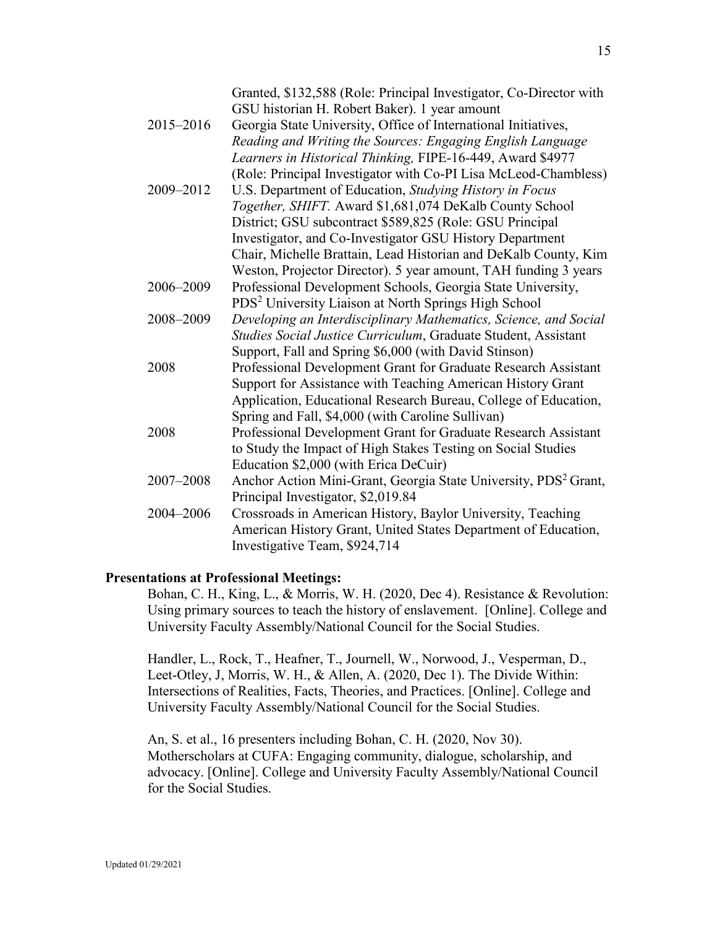| 2015-2016 | Granted, \$132,588 (Role: Principal Investigator, Co-Director with<br>GSU historian H. Robert Baker). 1 year amount<br>Georgia State University, Office of International Initiatives,<br>Reading and Writing the Sources: Engaging English Language<br>Learners in Historical Thinking, FIPE-16-449, Award \$4977 |
|-----------|-------------------------------------------------------------------------------------------------------------------------------------------------------------------------------------------------------------------------------------------------------------------------------------------------------------------|
| 2009-2012 | (Role: Principal Investigator with Co-PI Lisa McLeod-Chambless)<br>U.S. Department of Education, Studying History in Focus                                                                                                                                                                                        |
|           | Together, SHIFT. Award \$1,681,074 DeKalb County School                                                                                                                                                                                                                                                           |
|           | District; GSU subcontract \$589,825 (Role: GSU Principal                                                                                                                                                                                                                                                          |
|           | Investigator, and Co-Investigator GSU History Department                                                                                                                                                                                                                                                          |
|           | Chair, Michelle Brattain, Lead Historian and DeKalb County, Kim                                                                                                                                                                                                                                                   |
|           | Weston, Projector Director). 5 year amount, TAH funding 3 years                                                                                                                                                                                                                                                   |
| 2006-2009 | Professional Development Schools, Georgia State University,                                                                                                                                                                                                                                                       |
|           | PDS <sup>2</sup> University Liaison at North Springs High School                                                                                                                                                                                                                                                  |
| 2008-2009 | Developing an Interdisciplinary Mathematics, Science, and Social                                                                                                                                                                                                                                                  |
|           | Studies Social Justice Curriculum, Graduate Student, Assistant                                                                                                                                                                                                                                                    |
|           | Support, Fall and Spring \$6,000 (with David Stinson)                                                                                                                                                                                                                                                             |
| 2008      | Professional Development Grant for Graduate Research Assistant                                                                                                                                                                                                                                                    |
|           | Support for Assistance with Teaching American History Grant                                                                                                                                                                                                                                                       |
|           | Application, Educational Research Bureau, College of Education,                                                                                                                                                                                                                                                   |
|           | Spring and Fall, \$4,000 (with Caroline Sullivan)                                                                                                                                                                                                                                                                 |
| 2008      | Professional Development Grant for Graduate Research Assistant                                                                                                                                                                                                                                                    |
|           | to Study the Impact of High Stakes Testing on Social Studies                                                                                                                                                                                                                                                      |
|           | Education \$2,000 (with Erica DeCuir)                                                                                                                                                                                                                                                                             |
| 2007-2008 | Anchor Action Mini-Grant, Georgia State University, PDS <sup>2</sup> Grant,                                                                                                                                                                                                                                       |
|           | Principal Investigator, \$2,019.84                                                                                                                                                                                                                                                                                |
| 2004-2006 | Crossroads in American History, Baylor University, Teaching                                                                                                                                                                                                                                                       |
|           | American History Grant, United States Department of Education,                                                                                                                                                                                                                                                    |
|           | Investigative Team, \$924,714                                                                                                                                                                                                                                                                                     |

### **Presentations at Professional Meetings:**

Bohan, C. H., King, L., & Morris, W. H. (2020, Dec 4). Resistance & Revolution: Using primary sources to teach the history of enslavement. [Online]. College and University Faculty Assembly/National Council for the Social Studies.

Handler, L., Rock, T., Heafner, T., Journell, W., Norwood, J., Vesperman, D., Leet-Otley, J, Morris, W. H., & Allen, A. (2020, Dec 1). The Divide Within: Intersections of Realities, Facts, Theories, and Practices. [Online]. College and University Faculty Assembly/National Council for the Social Studies.

An, S. et al., 16 presenters including Bohan, C. H. (2020, Nov 30). Motherscholars at CUFA: Engaging community, dialogue, scholarship, and advocacy. [Online]. College and University Faculty Assembly/National Council for the Social Studies.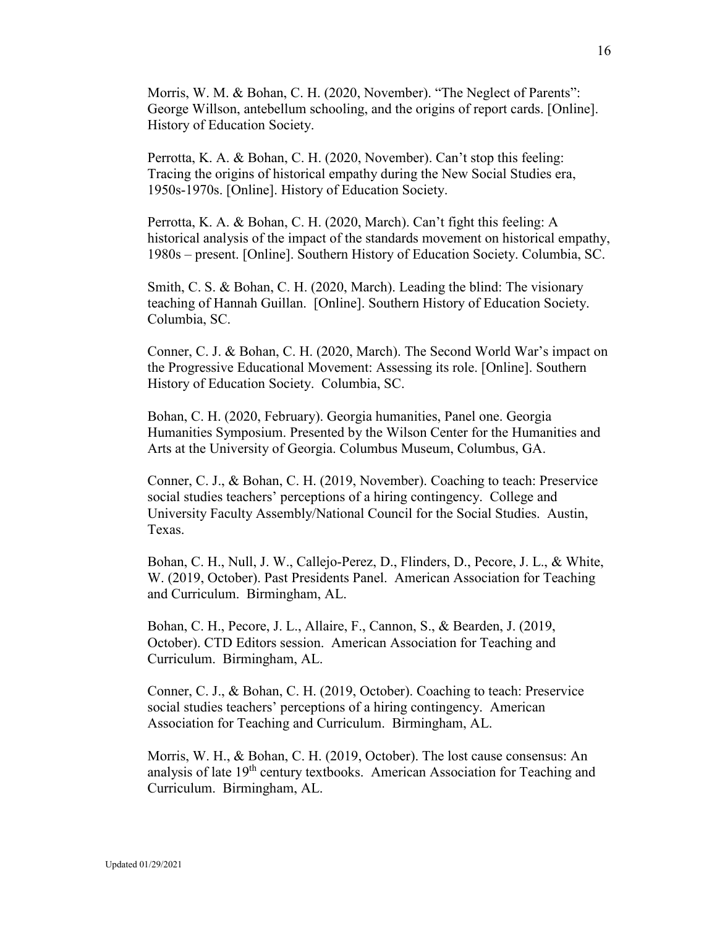Morris, W. M. & Bohan, C. H. (2020, November). "The Neglect of Parents": George Willson, antebellum schooling, and the origins of report cards. [Online]. History of Education Society.

Perrotta, K. A. & Bohan, C. H. (2020, November). Can't stop this feeling: Tracing the origins of historical empathy during the New Social Studies era, 1950s-1970s. [Online]. History of Education Society.

Perrotta, K. A. & Bohan, C. H. (2020, March). Can't fight this feeling: A historical analysis of the impact of the standards movement on historical empathy, 1980s – present. [Online]. Southern History of Education Society. Columbia, SC.

Smith, C. S. & Bohan, C. H. (2020, March). Leading the blind: The visionary teaching of Hannah Guillan. [Online]. Southern History of Education Society. Columbia, SC.

Conner, C. J. & Bohan, C. H. (2020, March). The Second World War's impact on the Progressive Educational Movement: Assessing its role. [Online]. Southern History of Education Society. Columbia, SC.

Bohan, C. H. (2020, February). Georgia humanities, Panel one. Georgia Humanities Symposium. Presented by the Wilson Center for the Humanities and Arts at the University of Georgia. Columbus Museum, Columbus, GA.

Conner, C. J., & Bohan, C. H. (2019, November). Coaching to teach: Preservice social studies teachers' perceptions of a hiring contingency. College and University Faculty Assembly/National Council for the Social Studies. Austin, Texas.

Bohan, C. H., Null, J. W., Callejo-Perez, D., Flinders, D., Pecore, J. L., & White, W. (2019, October). Past Presidents Panel. American Association for Teaching and Curriculum. Birmingham, AL.

Bohan, C. H., Pecore, J. L., Allaire, F., Cannon, S., & Bearden, J. (2019, October). CTD Editors session. American Association for Teaching and Curriculum. Birmingham, AL.

Conner, C. J., & Bohan, C. H. (2019, October). Coaching to teach: Preservice social studies teachers' perceptions of a hiring contingency. American Association for Teaching and Curriculum. Birmingham, AL.

Morris, W. H., & Bohan, C. H. (2019, October). The lost cause consensus: An analysis of late  $19<sup>th</sup>$  century textbooks. American Association for Teaching and Curriculum. Birmingham, AL.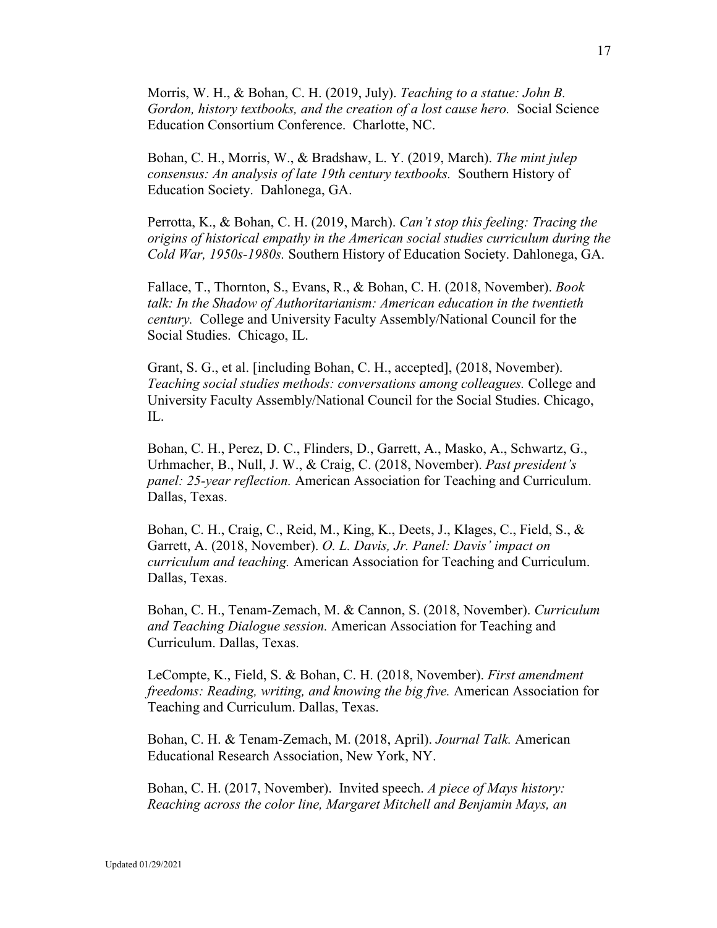Morris, W. H., & Bohan, C. H. (2019, July). *Teaching to a statue: John B. Gordon, history textbooks, and the creation of a lost cause hero.* Social Science Education Consortium Conference. Charlotte, NC.

Bohan, C. H., Morris, W., & Bradshaw, L. Y. (2019, March). *The mint julep consensus: An analysis of late 19th century textbooks.* Southern History of Education Society. Dahlonega, GA.

Perrotta, K., & Bohan, C. H. (2019, March). *Can't stop this feeling: Tracing the origins of historical empathy in the American social studies curriculum during the Cold War, 1950s-1980s.* Southern History of Education Society. Dahlonega, GA.

Fallace, T., Thornton, S., Evans, R., & Bohan, C. H. (2018, November). *Book talk: In the Shadow of Authoritarianism: American education in the twentieth century.* College and University Faculty Assembly/National Council for the Social Studies. Chicago, IL.

Grant, S. G., et al. [including Bohan, C. H., accepted], (2018, November). *Teaching social studies methods: conversations among colleagues.* College and University Faculty Assembly/National Council for the Social Studies. Chicago, IL.

Bohan, C. H., Perez, D. C., Flinders, D., Garrett, A., Masko, A., Schwartz, G., Urhmacher, B., Null, J. W., & Craig, C. (2018, November). *Past president's panel: 25-year reflection.* American Association for Teaching and Curriculum. Dallas, Texas.

Bohan, C. H., Craig, C., Reid, M., King, K., Deets, J., Klages, C., Field, S., & Garrett, A. (2018, November). *O. L. Davis, Jr. Panel: Davis' impact on curriculum and teaching.* American Association for Teaching and Curriculum. Dallas, Texas.

Bohan, C. H., Tenam-Zemach, M. & Cannon, S. (2018, November). *Curriculum and Teaching Dialogue session.* American Association for Teaching and Curriculum. Dallas, Texas.

LeCompte, K., Field, S. & Bohan, C. H. (2018, November). *First amendment freedoms: Reading, writing, and knowing the big five.* American Association for Teaching and Curriculum. Dallas, Texas.

Bohan, C. H. & Tenam-Zemach, M. (2018, April). *Journal Talk.* American Educational Research Association, New York, NY.

Bohan, C. H. (2017, November). Invited speech. *A piece of Mays history: Reaching across the color line, Margaret Mitchell and Benjamin Mays, an*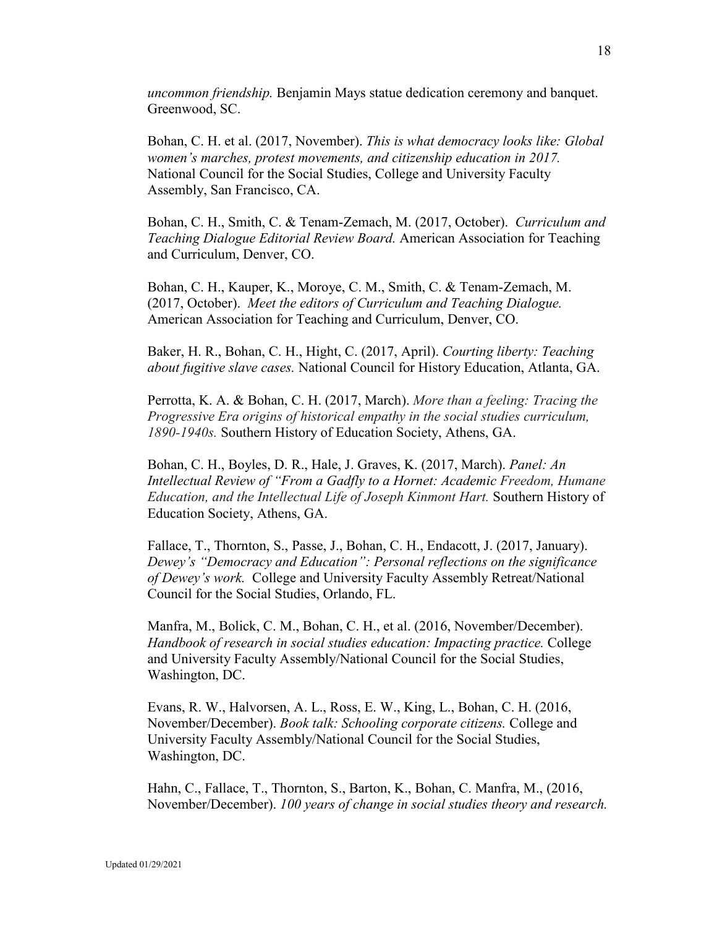*uncommon friendship.* Benjamin Mays statue dedication ceremony and banquet. Greenwood, SC.

Bohan, C. H. et al. (2017, November). *This is what democracy looks like: Global women's marches, protest movements, and citizenship education in 2017.* National Council for the Social Studies, College and University Faculty Assembly, San Francisco, CA.

Bohan, C. H., Smith, C. & Tenam-Zemach, M. (2017, October). *Curriculum and Teaching Dialogue Editorial Review Board.* American Association for Teaching and Curriculum, Denver, CO.

Bohan, C. H., Kauper, K., Moroye, C. M., Smith, C. & Tenam-Zemach, M. (2017, October). *Meet the editors of Curriculum and Teaching Dialogue.*  American Association for Teaching and Curriculum, Denver, CO.

Baker, H. R., Bohan, C. H., Hight, C. (2017, April). *Courting liberty: Teaching about fugitive slave cases.* National Council for History Education, Atlanta, GA.

Perrotta, K. A. & Bohan, C. H. (2017, March). *More than a feeling: Tracing the Progressive Era origins of historical empathy in the social studies curriculum, 1890-1940s.* Southern History of Education Society, Athens, GA.

Bohan, C. H., Boyles, D. R., Hale, J. Graves, K. (2017, March). *Panel: An Intellectual Review of "From a Gadfly to a Hornet: Academic Freedom, Humane Education, and the Intellectual Life of Joseph Kinmont Hart.* Southern History of Education Society, Athens, GA.

Fallace, T., Thornton, S., Passe, J., Bohan, C. H., Endacott, J. (2017, January). *Dewey's "Democracy and Education": Personal reflections on the significance of Dewey's work.* College and University Faculty Assembly Retreat/National Council for the Social Studies, Orlando, FL.

Manfra, M., Bolick, C. M., Bohan, C. H., et al. (2016, November/December). *Handbook of research in social studies education: Impacting practice.* College and University Faculty Assembly/National Council for the Social Studies, Washington, DC.

Evans, R. W., Halvorsen, A. L., Ross, E. W., King, L., Bohan, C. H. (2016, November/December). *Book talk: Schooling corporate citizens.* College and University Faculty Assembly/National Council for the Social Studies, Washington, DC.

Hahn, C., Fallace, T., Thornton, S., Barton, K., Bohan, C. Manfra, M., (2016, November/December). *100 years of change in social studies theory and research.*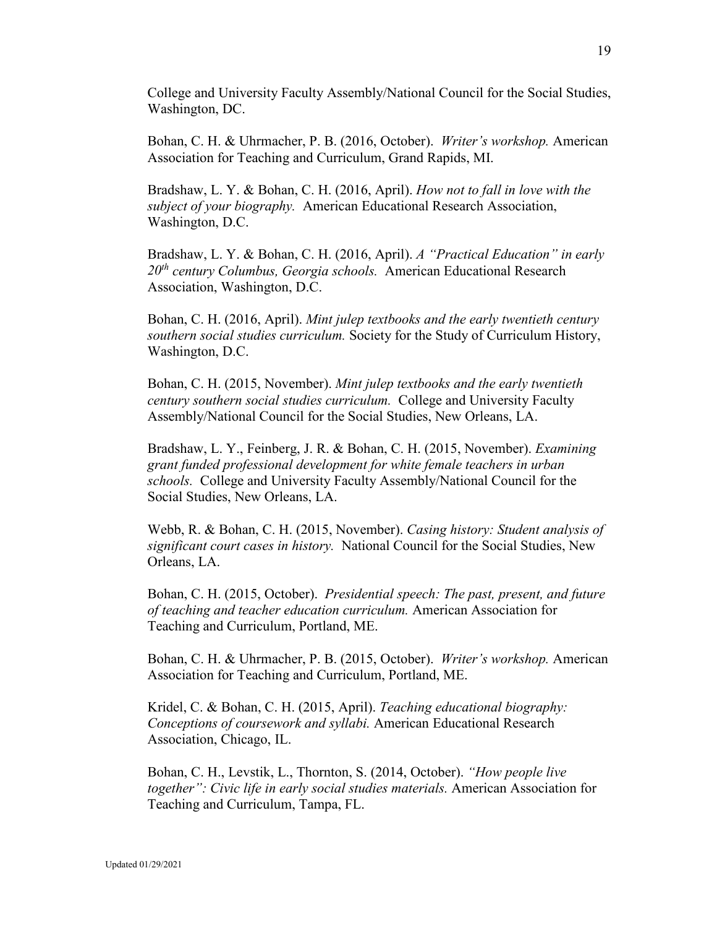College and University Faculty Assembly/National Council for the Social Studies, Washington, DC.

Bohan, C. H. & Uhrmacher, P. B. (2016, October). *Writer's workshop.* American Association for Teaching and Curriculum, Grand Rapids, MI.

Bradshaw, L. Y. & Bohan, C. H. (2016, April). *How not to fall in love with the subject of your biography.* American Educational Research Association, Washington, D.C.

Bradshaw, L. Y. & Bohan, C. H. (2016, April). *A "Practical Education" in early 20th century Columbus, Georgia schools.* American Educational Research Association, Washington, D.C.

Bohan, C. H. (2016, April). *Mint julep textbooks and the early twentieth century southern social studies curriculum.* Society for the Study of Curriculum History, Washington, D.C.

Bohan, C. H. (2015, November). *Mint julep textbooks and the early twentieth century southern social studies curriculum.* College and University Faculty Assembly/National Council for the Social Studies, New Orleans, LA.

Bradshaw, L. Y., Feinberg, J. R. & Bohan, C. H. (2015, November). *Examining grant funded professional development for white female teachers in urban schools.* College and University Faculty Assembly/National Council for the Social Studies, New Orleans, LA.

Webb, R. & Bohan, C. H. (2015, November). *Casing history: Student analysis of significant court cases in history.* National Council for the Social Studies, New Orleans, LA.

Bohan, C. H. (2015, October). *Presidential speech: The past, present, and future of teaching and teacher education curriculum.* American Association for Teaching and Curriculum, Portland, ME.

Bohan, C. H. & Uhrmacher, P. B. (2015, October). *Writer's workshop.* American Association for Teaching and Curriculum, Portland, ME.

Kridel, C. & Bohan, C. H. (2015, April). *Teaching educational biography: Conceptions of coursework and syllabi.* American Educational Research Association, Chicago, IL.

Bohan, C. H., Levstik, L., Thornton, S. (2014, October). *"How people live together": Civic life in early social studies materials.* American Association for Teaching and Curriculum, Tampa, FL.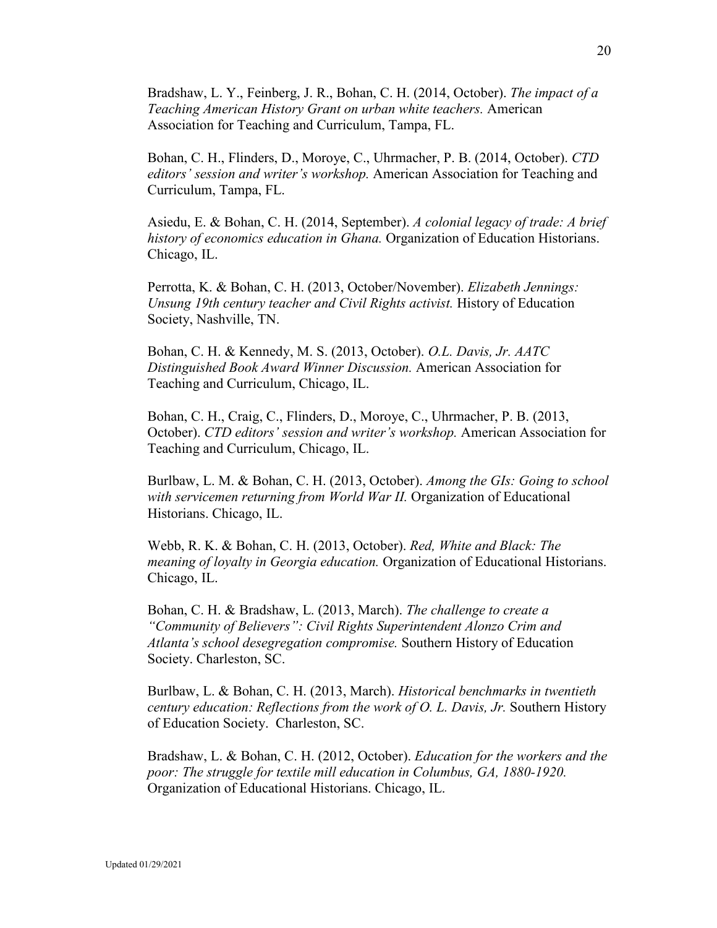Bradshaw, L. Y., Feinberg, J. R., Bohan, C. H. (2014, October). *The impact of a Teaching American History Grant on urban white teachers.* American Association for Teaching and Curriculum, Tampa, FL.

Bohan, C. H., Flinders, D., Moroye, C., Uhrmacher, P. B. (2014, October). *CTD editors' session and writer's workshop.* American Association for Teaching and Curriculum, Tampa, FL.

Asiedu, E. & Bohan, C. H. (2014, September). *A colonial legacy of trade: A brief history of economics education in Ghana.* Organization of Education Historians. Chicago, IL.

Perrotta, K. & Bohan, C. H. (2013, October/November). *Elizabeth Jennings: Unsung 19th century teacher and Civil Rights activist.* History of Education Society, Nashville, TN.

Bohan, C. H. & Kennedy, M. S. (2013, October). *O.L. Davis, Jr. AATC Distinguished Book Award Winner Discussion.* American Association for Teaching and Curriculum, Chicago, IL.

Bohan, C. H., Craig, C., Flinders, D., Moroye, C., Uhrmacher, P. B. (2013, October). *CTD editors' session and writer's workshop.* American Association for Teaching and Curriculum, Chicago, IL.

Burlbaw, L. M. & Bohan, C. H. (2013, October). *Among the GIs: Going to school with servicemen returning from World War II.* Organization of Educational Historians. Chicago, IL.

Webb, R. K. & Bohan, C. H. (2013, October). *Red, White and Black: The meaning of loyalty in Georgia education.* Organization of Educational Historians. Chicago, IL.

Bohan, C. H. & Bradshaw, L. (2013, March). *The challenge to create a "Community of Believers": Civil Rights Superintendent Alonzo Crim and Atlanta's school desegregation compromise.* Southern History of Education Society. Charleston, SC.

Burlbaw, L. & Bohan, C. H. (2013, March). *Historical benchmarks in twentieth century education: Reflections from the work of O. L. Davis, Jr.* Southern History of Education Society. Charleston, SC.

Bradshaw, L. & Bohan, C. H. (2012, October). *Education for the workers and the poor: The struggle for textile mill education in Columbus, GA, 1880-1920.* Organization of Educational Historians. Chicago, IL.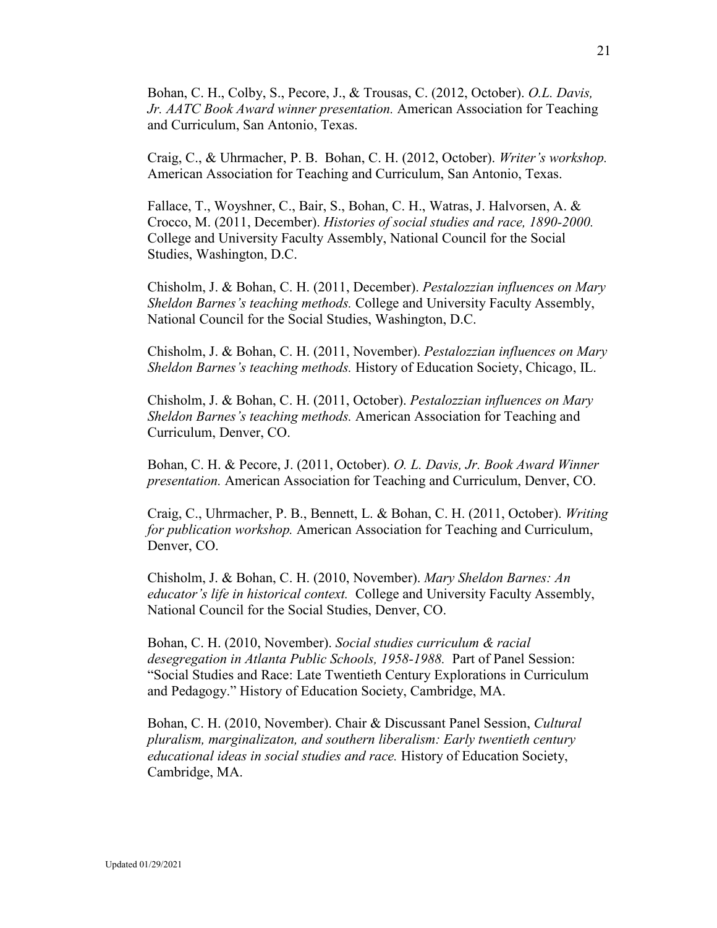Bohan, C. H., Colby, S., Pecore, J., & Trousas, C. (2012, October). *O.L. Davis, Jr. AATC Book Award winner presentation.* American Association for Teaching and Curriculum, San Antonio, Texas.

Craig, C., & Uhrmacher, P. B. Bohan, C. H. (2012, October). *Writer's workshop.*  American Association for Teaching and Curriculum, San Antonio, Texas.

Fallace, T., Woyshner, C., Bair, S., Bohan, C. H., Watras, J. Halvorsen, A. & Crocco, M. (2011, December). *Histories of social studies and race, 1890-2000.* College and University Faculty Assembly, National Council for the Social Studies, Washington, D.C.

Chisholm, J. & Bohan, C. H. (2011, December). *Pestalozzian influences on Mary Sheldon Barnes's teaching methods.* College and University Faculty Assembly, National Council for the Social Studies, Washington, D.C.

Chisholm, J. & Bohan, C. H. (2011, November). *Pestalozzian influences on Mary Sheldon Barnes's teaching methods.* History of Education Society, Chicago, IL.

Chisholm, J. & Bohan, C. H. (2011, October). *Pestalozzian influences on Mary Sheldon Barnes's teaching methods.* American Association for Teaching and Curriculum, Denver, CO.

Bohan, C. H. & Pecore, J. (2011, October). *O. L. Davis, Jr. Book Award Winner presentation.* American Association for Teaching and Curriculum, Denver, CO.

Craig, C., Uhrmacher, P. B., Bennett, L. & Bohan, C. H. (2011, October). *Writing for publication workshop.* American Association for Teaching and Curriculum, Denver, CO.

Chisholm, J. & Bohan, C. H. (2010, November). *Mary Sheldon Barnes: An educator's life in historical context.* College and University Faculty Assembly, National Council for the Social Studies, Denver, CO.

Bohan, C. H. (2010, November). *Social studies curriculum & racial desegregation in Atlanta Public Schools, 1958-1988.* Part of Panel Session: "Social Studies and Race: Late Twentieth Century Explorations in Curriculum and Pedagogy." History of Education Society, Cambridge, MA.

Bohan, C. H. (2010, November). Chair & Discussant Panel Session, *Cultural pluralism, marginalizaton, and southern liberalism: Early twentieth century educational ideas in social studies and race.* History of Education Society, Cambridge, MA.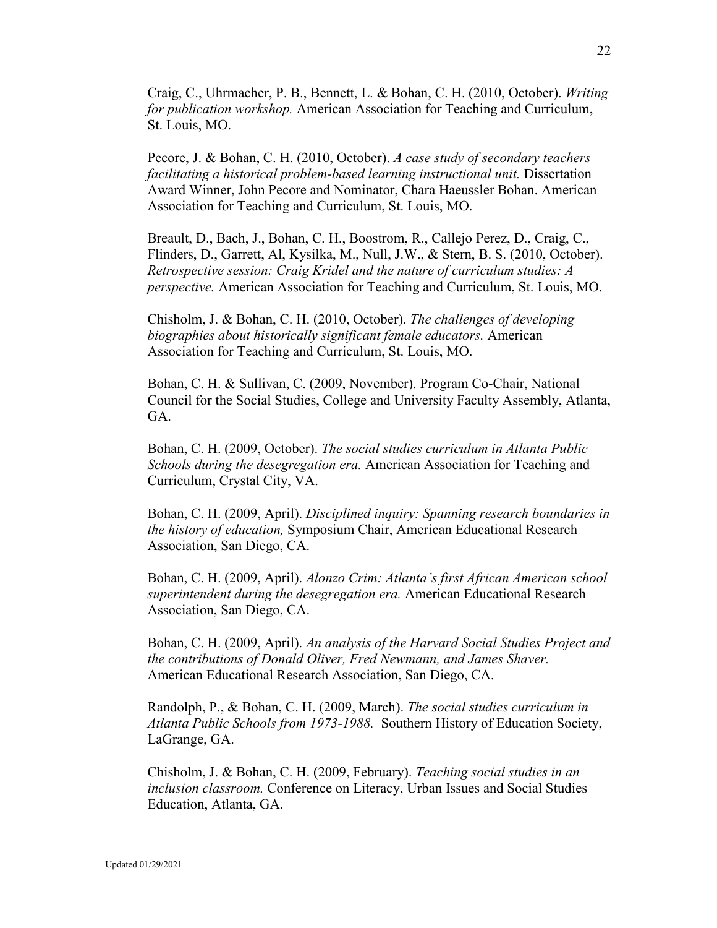Craig, C., Uhrmacher, P. B., Bennett, L. & Bohan, C. H. (2010, October). *Writing for publication workshop.* American Association for Teaching and Curriculum, St. Louis, MO.

Pecore, J. & Bohan, C. H. (2010, October). *A case study of secondary teachers facilitating a historical problem-based learning instructional unit.* Dissertation Award Winner, John Pecore and Nominator, Chara Haeussler Bohan. American Association for Teaching and Curriculum, St. Louis, MO.

Breault, D., Bach, J., Bohan, C. H., Boostrom, R., Callejo Perez, D., Craig, C., Flinders, D., Garrett, Al, Kysilka, M., Null, J.W., & Stern, B. S. (2010, October). *Retrospective session: Craig Kridel and the nature of curriculum studies: A perspective.* American Association for Teaching and Curriculum, St. Louis, MO.

Chisholm, J. & Bohan, C. H. (2010, October). *The challenges of developing biographies about historically significant female educators.* American Association for Teaching and Curriculum, St. Louis, MO.

Bohan, C. H. & Sullivan, C. (2009, November). Program Co-Chair, National Council for the Social Studies, College and University Faculty Assembly, Atlanta, GA.

Bohan, C. H. (2009, October). *The social studies curriculum in Atlanta Public Schools during the desegregation era.* American Association for Teaching and Curriculum, Crystal City, VA.

Bohan, C. H. (2009, April). *Disciplined inquiry: Spanning research boundaries in the history of education,* Symposium Chair, American Educational Research Association, San Diego, CA.

Bohan, C. H. (2009, April). *Alonzo Crim: Atlanta's first African American school superintendent during the desegregation era.* American Educational Research Association, San Diego, CA.

Bohan, C. H. (2009, April). *An analysis of the Harvard Social Studies Project and the contributions of Donald Oliver, Fred Newmann, and James Shaver.*  American Educational Research Association, San Diego, CA.

Randolph, P., & Bohan, C. H. (2009, March). *The social studies curriculum in Atlanta Public Schools from 1973-1988.* Southern History of Education Society, LaGrange, GA.

Chisholm, J. & Bohan, C. H. (2009, February). *Teaching social studies in an inclusion classroom.* Conference on Literacy, Urban Issues and Social Studies Education, Atlanta, GA.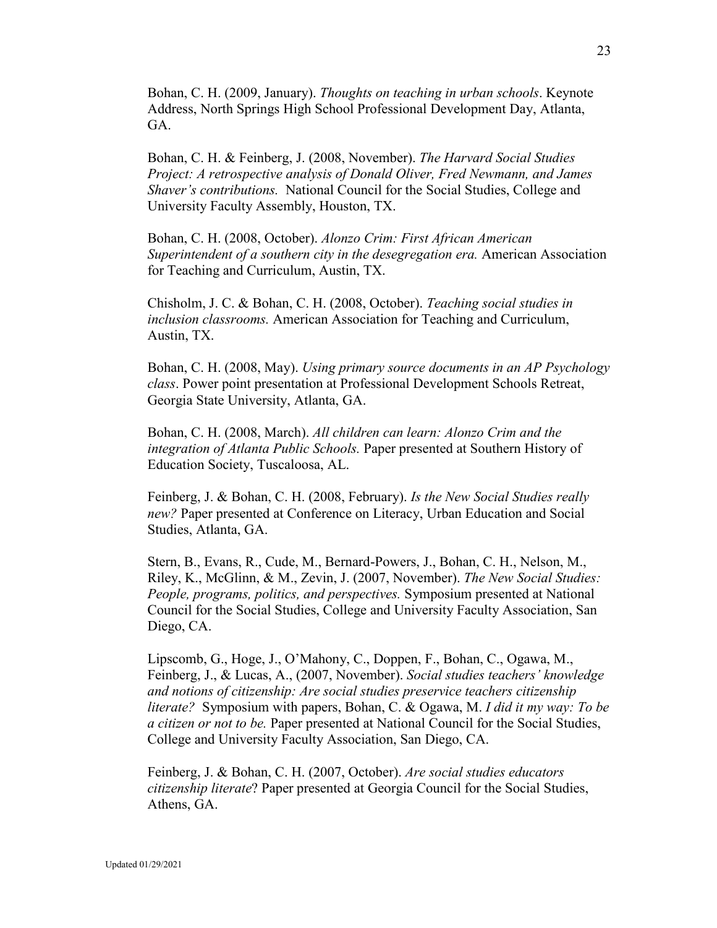Bohan, C. H. (2009, January). *Thoughts on teaching in urban schools*. Keynote Address, North Springs High School Professional Development Day, Atlanta, GA.

Bohan, C. H. & Feinberg, J. (2008, November). *The Harvard Social Studies Project: A retrospective analysis of Donald Oliver, Fred Newmann, and James Shaver's contributions.* National Council for the Social Studies, College and University Faculty Assembly, Houston, TX.

Bohan, C. H. (2008, October). *Alonzo Crim: First African American Superintendent of a southern city in the desegregation era.* American Association for Teaching and Curriculum, Austin, TX.

Chisholm, J. C. & Bohan, C. H. (2008, October). *Teaching social studies in inclusion classrooms.* American Association for Teaching and Curriculum, Austin, TX.

Bohan, C. H. (2008, May). *Using primary source documents in an AP Psychology class*. Power point presentation at Professional Development Schools Retreat, Georgia State University, Atlanta, GA.

Bohan, C. H. (2008, March). *All children can learn: Alonzo Crim and the integration of Atlanta Public Schools.* Paper presented at Southern History of Education Society, Tuscaloosa, AL.

Feinberg, J. & Bohan, C. H. (2008, February). *Is the New Social Studies really new?* Paper presented at Conference on Literacy, Urban Education and Social Studies, Atlanta, GA.

Stern, B., Evans, R., Cude, M., Bernard-Powers, J., Bohan, C. H., Nelson, M., Riley, K., McGlinn, & M., Zevin, J. (2007, November). *The New Social Studies: People, programs, politics, and perspectives.* Symposium presented at National Council for the Social Studies, College and University Faculty Association, San Diego, CA.

Lipscomb, G., Hoge, J., O'Mahony, C., Doppen, F., Bohan, C., Ogawa, M., Feinberg, J., & Lucas, A., (2007, November). *Social studies teachers' knowledge and notions of citizenship: Are social studies preservice teachers citizenship literate?* Symposium with papers, Bohan, C. & Ogawa, M. *I did it my way: To be a citizen or not to be.* Paper presented at National Council for the Social Studies, College and University Faculty Association, San Diego, CA.

Feinberg, J. & Bohan, C. H. (2007, October). *Are social studies educators citizenship literate*? Paper presented at Georgia Council for the Social Studies, Athens, GA.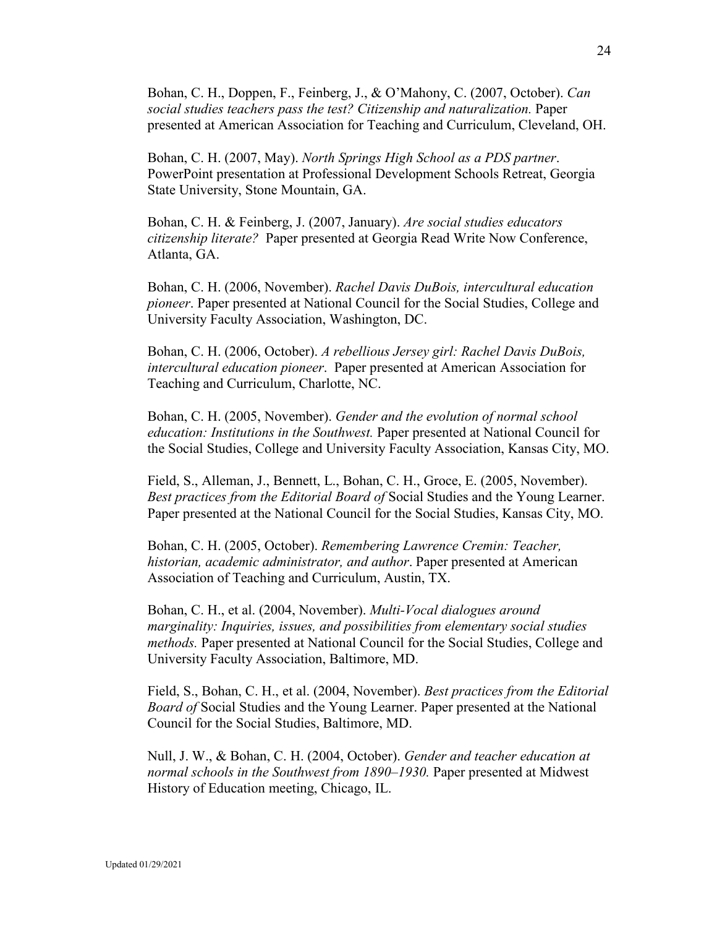Bohan, C. H., Doppen, F., Feinberg, J., & O'Mahony, C. (2007, October). *Can social studies teachers pass the test? Citizenship and naturalization.* Paper presented at American Association for Teaching and Curriculum, Cleveland, OH.

Bohan, C. H. (2007, May). *North Springs High School as a PDS partner*. PowerPoint presentation at Professional Development Schools Retreat, Georgia State University, Stone Mountain, GA.

Bohan, C. H. & Feinberg, J. (2007, January). *Are social studies educators citizenship literate?* Paper presented at Georgia Read Write Now Conference, Atlanta, GA.

Bohan, C. H. (2006, November). *Rachel Davis DuBois, intercultural education pioneer*. Paper presented at National Council for the Social Studies, College and University Faculty Association, Washington, DC.

Bohan, C. H. (2006, October). *A rebellious Jersey girl: Rachel Davis DuBois, intercultural education pioneer*. Paper presented at American Association for Teaching and Curriculum, Charlotte, NC.

Bohan, C. H. (2005, November). *Gender and the evolution of normal school education: Institutions in the Southwest.* Paper presented at National Council for the Social Studies, College and University Faculty Association, Kansas City, MO.

Field, S., Alleman, J., Bennett, L., Bohan, C. H., Groce, E. (2005, November). *Best practices from the Editorial Board of* Social Studies and the Young Learner. Paper presented at the National Council for the Social Studies, Kansas City, MO.

Bohan, C. H. (2005, October). *Remembering Lawrence Cremin: Teacher, historian, academic administrator, and author*. Paper presented at American Association of Teaching and Curriculum, Austin, TX.

Bohan, C. H., et al. (2004, November). *Multi-Vocal dialogues around marginality: Inquiries, issues, and possibilities from elementary social studies methods.* Paper presented at National Council for the Social Studies, College and University Faculty Association, Baltimore, MD.

Field, S., Bohan, C. H., et al. (2004, November). *Best practices from the Editorial Board of* Social Studies and the Young Learner. Paper presented at the National Council for the Social Studies, Baltimore, MD.

Null, J. W., & Bohan, C. H. (2004, October). *Gender and teacher education at normal schools in the Southwest from 1890–1930.* Paper presented at Midwest History of Education meeting, Chicago, IL.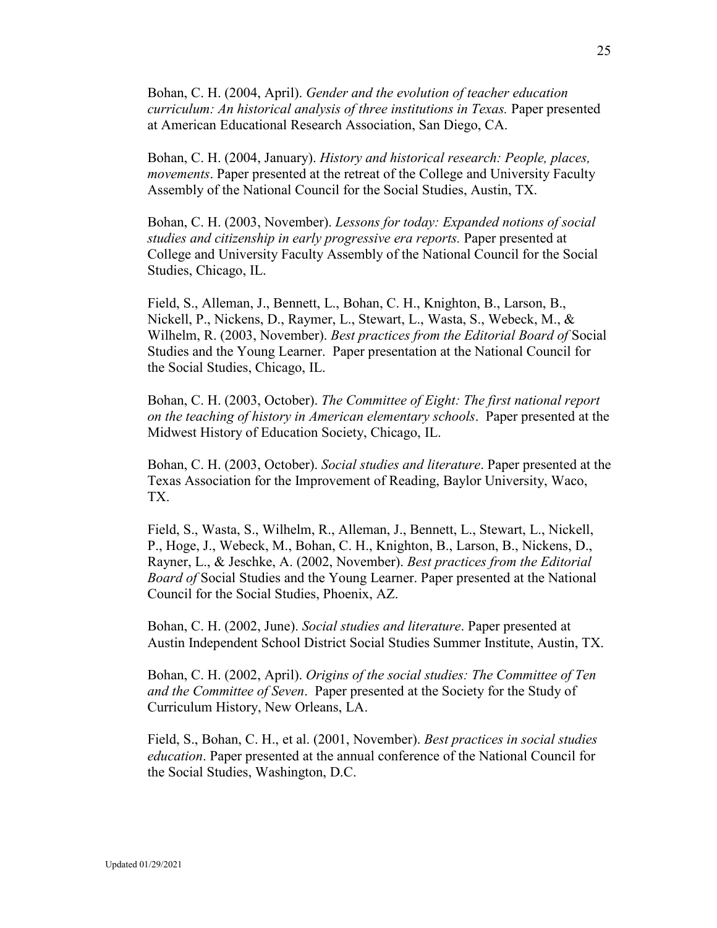Bohan, C. H. (2004, April). *Gender and the evolution of teacher education curriculum: An historical analysis of three institutions in Texas.* Paper presented at American Educational Research Association, San Diego, CA.

Bohan, C. H. (2004, January). *History and historical research: People, places, movements*. Paper presented at the retreat of the College and University Faculty Assembly of the National Council for the Social Studies, Austin, TX.

Bohan, C. H. (2003, November). *Lessons for today: Expanded notions of social studies and citizenship in early progressive era reports.* Paper presented at College and University Faculty Assembly of the National Council for the Social Studies, Chicago, IL.

Field, S., Alleman, J., Bennett, L., Bohan, C. H., Knighton, B., Larson, B., Nickell, P., Nickens, D., Raymer, L., Stewart, L., Wasta, S., Webeck, M., & Wilhelm, R. (2003, November). *Best practices from the Editorial Board of* Social Studies and the Young Learner. Paper presentation at the National Council for the Social Studies, Chicago, IL.

Bohan, C. H. (2003, October). *The Committee of Eight: The first national report on the teaching of history in American elementary schools*. Paper presented at the Midwest History of Education Society, Chicago, IL.

Bohan, C. H. (2003, October). *Social studies and literature*. Paper presented at the Texas Association for the Improvement of Reading, Baylor University, Waco, TX.

Field, S., Wasta, S., Wilhelm, R., Alleman, J., Bennett, L., Stewart, L., Nickell, P., Hoge, J., Webeck, M., Bohan, C. H., Knighton, B., Larson, B., Nickens, D., Rayner, L., & Jeschke, A. (2002, November). *Best practices from the Editorial Board of* Social Studies and the Young Learner. Paper presented at the National Council for the Social Studies, Phoenix, AZ.

Bohan, C. H. (2002, June). *Social studies and literature*. Paper presented at Austin Independent School District Social Studies Summer Institute, Austin, TX.

Bohan, C. H. (2002, April). *Origins of the social studies: The Committee of Ten and the Committee of Seven*. Paper presented at the Society for the Study of Curriculum History, New Orleans, LA.

Field, S., Bohan, C. H., et al. (2001, November). *Best practices in social studies education*. Paper presented at the annual conference of the National Council for the Social Studies, Washington, D.C.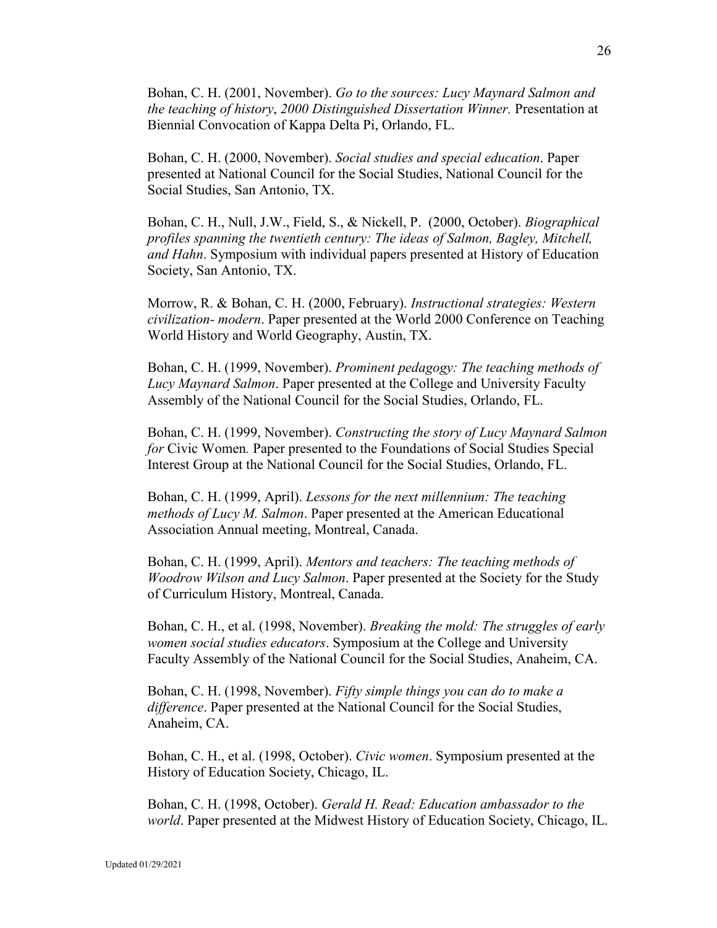Bohan, C. H. (2001, November). *Go to the sources: Lucy Maynard Salmon and the teaching of history*, *2000 Distinguished Dissertation Winner.* Presentation at Biennial Convocation of Kappa Delta Pi, Orlando, FL.

Bohan, C. H. (2000, November). *Social studies and special education*. Paper presented at National Council for the Social Studies, National Council for the Social Studies, San Antonio, TX.

Bohan, C. H., Null, J.W., Field, S., & Nickell, P. (2000, October). *Biographical profiles spanning the twentieth century: The ideas of Salmon, Bagley, Mitchell, and Hahn*. Symposium with individual papers presented at History of Education Society, San Antonio, TX.

Morrow, R. & Bohan, C. H. (2000, February). *Instructional strategies: Western civilization- modern*. Paper presented at the World 2000 Conference on Teaching World History and World Geography, Austin, TX.

Bohan, C. H. (1999, November). *Prominent pedagogy: The teaching methods of Lucy Maynard Salmon*. Paper presented at the College and University Faculty Assembly of the National Council for the Social Studies, Orlando, FL.

Bohan, C. H. (1999, November). *Constructing the story of Lucy Maynard Salmon for* Civic Women*.* Paper presented to the Foundations of Social Studies Special Interest Group at the National Council for the Social Studies, Orlando, FL.

Bohan, C. H. (1999, April). *Lessons for the next millennium: The teaching methods of Lucy M. Salmon*. Paper presented at the American Educational Association Annual meeting, Montreal, Canada.

Bohan, C. H. (1999, April). *Mentors and teachers: The teaching methods of Woodrow Wilson and Lucy Salmon*. Paper presented at the Society for the Study of Curriculum History, Montreal, Canada.

Bohan, C. H., et al. (1998, November). *Breaking the mold: The struggles of early women social studies educators*. Symposium at the College and University Faculty Assembly of the National Council for the Social Studies, Anaheim, CA.

Bohan, C. H. (1998, November). *Fifty simple things you can do to make a difference*. Paper presented at the National Council for the Social Studies, Anaheim, CA.

Bohan, C. H., et al. (1998, October). *Civic women*. Symposium presented at the History of Education Society, Chicago, IL.

Bohan, C. H. (1998, October). *Gerald H. Read: Education ambassador to the world*. Paper presented at the Midwest History of Education Society, Chicago, IL.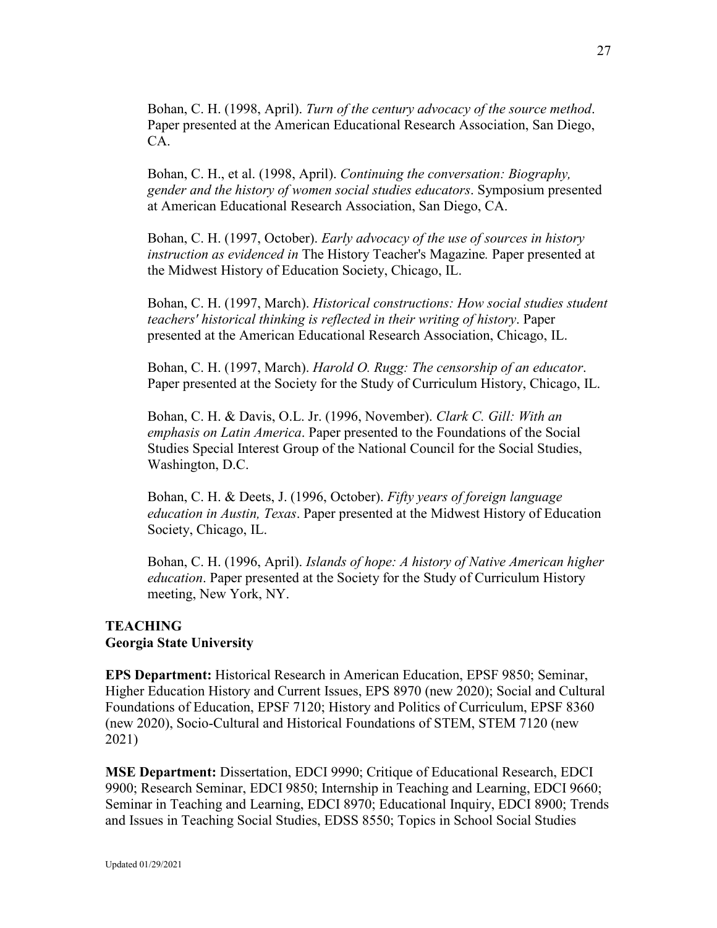Bohan, C. H. (1998, April). *Turn of the century advocacy of the source method*. Paper presented at the American Educational Research Association, San Diego, CA.

Bohan, C. H., et al. (1998, April). *Continuing the conversation: Biography, gender and the history of women social studies educators*. Symposium presented at American Educational Research Association, San Diego, CA.

Bohan, C. H. (1997, October). *Early advocacy of the use of sources in history instruction as evidenced in* The History Teacher's Magazine*.* Paper presented at the Midwest History of Education Society, Chicago, IL.

Bohan, C. H. (1997, March). *Historical constructions: How social studies student teachers' historical thinking is reflected in their writing of history*. Paper presented at the American Educational Research Association, Chicago, IL.

Bohan, C. H. (1997, March). *Harold O. Rugg: The censorship of an educator*. Paper presented at the Society for the Study of Curriculum History, Chicago, IL.

Bohan, C. H. & Davis, O.L. Jr. (1996, November). *Clark C. Gill: With an emphasis on Latin America*. Paper presented to the Foundations of the Social Studies Special Interest Group of the National Council for the Social Studies, Washington, D.C.

Bohan, C. H. & Deets, J. (1996, October). *Fifty years of foreign language education in Austin, Texas*. Paper presented at the Midwest History of Education Society, Chicago, IL.

Bohan, C. H. (1996, April). *Islands of hope: A history of Native American higher education*. Paper presented at the Society for the Study of Curriculum History meeting, New York, NY.

# **TEACHING Georgia State University**

**EPS Department:** Historical Research in American Education, EPSF 9850; Seminar, Higher Education History and Current Issues, EPS 8970 (new 2020); Social and Cultural Foundations of Education, EPSF 7120; History and Politics of Curriculum, EPSF 8360 (new 2020), Socio-Cultural and Historical Foundations of STEM, STEM 7120 (new 2021)

**MSE Department:** Dissertation, EDCI 9990; Critique of Educational Research, EDCI 9900; Research Seminar, EDCI 9850; Internship in Teaching and Learning, EDCI 9660; Seminar in Teaching and Learning, EDCI 8970; Educational Inquiry, EDCI 8900; Trends and Issues in Teaching Social Studies, EDSS 8550; Topics in School Social Studies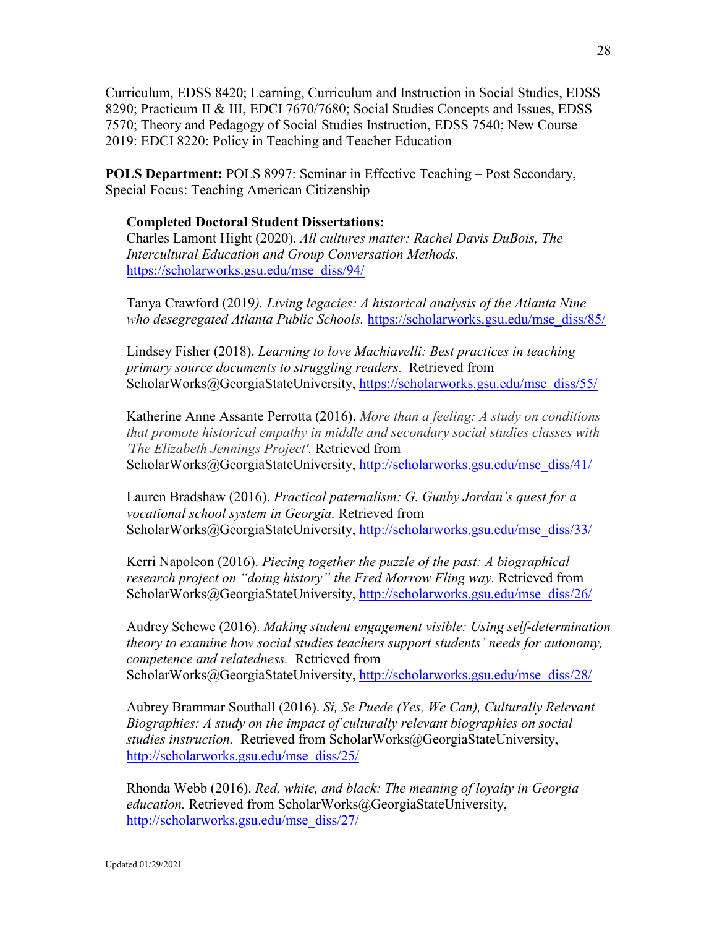Curriculum, EDSS 8420; Learning, Curriculum and Instruction in Social Studies, EDSS 8290; Practicum II & III, EDCI 7670/7680; Social Studies Concepts and Issues, EDSS 7570; Theory and Pedagogy of Social Studies Instruction, EDSS 7540; New Course 2019: EDCI 8220: Policy in Teaching and Teacher Education

**POLS Department:** POLS 8997: Seminar in Effective Teaching – Post Secondary, Special Focus: Teaching American Citizenship

### **Completed Doctoral Student Dissertations:**

Charles Lamont Hight (2020). *All cultures matter: Rachel Davis DuBois, The Intercultural Education and Group Conversation Methods.*  [https://scholarworks.gsu.edu/mse\\_diss/94/](https://scholarworks.gsu.edu/mse_diss/94/)

Tanya Crawford (2019*). Living legacies: A historical analysis of the Atlanta Nine who desegregated Atlanta Public Schools.* [https://scholarworks.gsu.edu/mse\\_diss/85/](https://scholarworks.gsu.edu/mse_diss/85/)

Lindsey Fisher (2018). *Learning to love Machiavelli: Best practices in teaching primary source documents to struggling readers.* Retrieved from ScholarWorks@GeorgiaStateUniversity, [https://scholarworks.gsu.edu/mse\\_diss/55/](https://scholarworks.gsu.edu/mse_diss/55/)

Katherine Anne Assante Perrotta (2016). *More than a feeling: A study on conditions that promote historical empathy in middle and secondary social studies classes with 'The Elizabeth Jennings Project'.* Retrieved from ScholarWorks@GeorgiaStateUniversity, [http://scholarworks.gsu.edu/mse\\_diss/41/](http://scholarworks.gsu.edu/mse_diss/41/)

Lauren Bradshaw (2016). *Practical paternalism: G. Gunby Jordan's quest for a vocational school system in Georgia.* Retrieved from ScholarWorks@GeorgiaStateUniversity, [http://scholarworks.gsu.edu/mse\\_diss/33/](http://scholarworks.gsu.edu/mse_diss/33/)

Kerri Napoleon (2016). *Piecing together the puzzle of the past: A biographical research project on "doing history" the Fred Morrow Fling way.* Retrieved from ScholarWorks@GeorgiaStateUniversity, [http://scholarworks.gsu.edu/mse\\_diss/26/](http://scholarworks.gsu.edu/mse_diss/26/)

Audrey Schewe (2016). *Making student engagement visible: Using self-determination theory to examine how social studies teachers support students' needs for autonomy, competence and relatedness.* Retrieved from ScholarWorks@GeorgiaStateUniversity, [http://scholarworks.gsu.edu/mse\\_diss/28/](http://scholarworks.gsu.edu/mse_diss/28/)

Aubrey Brammar Southall (2016). *Sí, Se Puede (Yes, We Can), Culturally Relevant Biographies: A study on the impact of culturally relevant biographies on social studies instruction.* Retrieved from ScholarWorks@GeorgiaStateUniversity, [http://scholarworks.gsu.edu/mse\\_diss/25/](http://scholarworks.gsu.edu/mse_diss/25/)

Rhonda Webb (2016). *Red, white, and black: The meaning of loyalty in Georgia education.* Retrieved from ScholarWorks@GeorgiaStateUniversity, [http://scholarworks.gsu.edu/mse\\_diss/27/](http://scholarworks.gsu.edu/mse_diss/27/)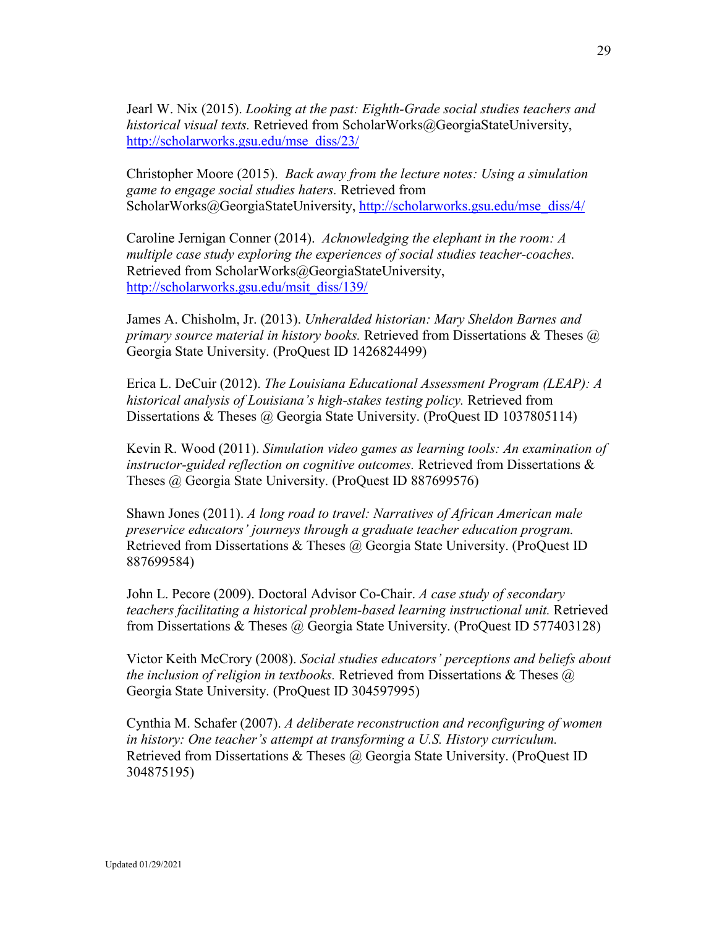Jearl W. Nix (2015). *Looking at the past: Eighth-Grade social studies teachers and historical visual texts.* Retrieved from ScholarWorks@GeorgiaStateUniversity, [http://scholarworks.gsu.edu/mse\\_diss/23/](http://scholarworks.gsu.edu/mse_diss/23/)

Christopher Moore (2015). *Back away from the lecture notes: Using a simulation game to engage social studies haters.* Retrieved from ScholarWorks@GeorgiaStateUniversity, [http://scholarworks.gsu.edu/mse\\_diss/4/](http://scholarworks.gsu.edu/mse_diss/4/)

Caroline Jernigan Conner (2014). *Acknowledging the elephant in the room: A multiple case study exploring the experiences of social studies teacher-coaches.*  Retrieved from ScholarWorks@GeorgiaStateUniversity, [http://scholarworks.gsu.edu/msit\\_diss/139/](http://scholarworks.gsu.edu/msit_diss/139/)

James A. Chisholm, Jr. (2013). *Unheralded historian: Mary Sheldon Barnes and primary source material in history books.* Retrieved from Dissertations & Theses @ Georgia State University. (ProQuest ID 1426824499)

Erica L. DeCuir (2012). *The Louisiana Educational Assessment Program (LEAP): A historical analysis of Louisiana's high-stakes testing policy.* Retrieved from Dissertations & Theses @ Georgia State University. (ProQuest ID 1037805114)

Kevin R. Wood (2011). *Simulation video games as learning tools: An examination of instructor-guided reflection on cognitive outcomes.* Retrieved from Dissertations & Theses @ Georgia State University. (ProQuest ID 887699576)

Shawn Jones (2011). *A long road to travel: Narratives of African American male preservice educators' journeys through a graduate teacher education program.* Retrieved from Dissertations & Theses @ Georgia State University. (ProQuest ID 887699584)

John L. Pecore (2009). Doctoral Advisor Co-Chair. *A case study of secondary teachers facilitating a historical problem-based learning instructional unit.* Retrieved from Dissertations & Theses @ Georgia State University. (ProQuest ID 577403128)

Victor Keith McCrory (2008). *Social studies educators' perceptions and beliefs about the inclusion of religion in textbooks.* Retrieved from Dissertations & Theses @ Georgia State University. (ProQuest ID 304597995)

Cynthia M. Schafer (2007). *A deliberate reconstruction and reconfiguring of women in history: One teacher's attempt at transforming a U.S. History curriculum.* Retrieved from Dissertations & Theses @ Georgia State University. (ProQuest ID 304875195)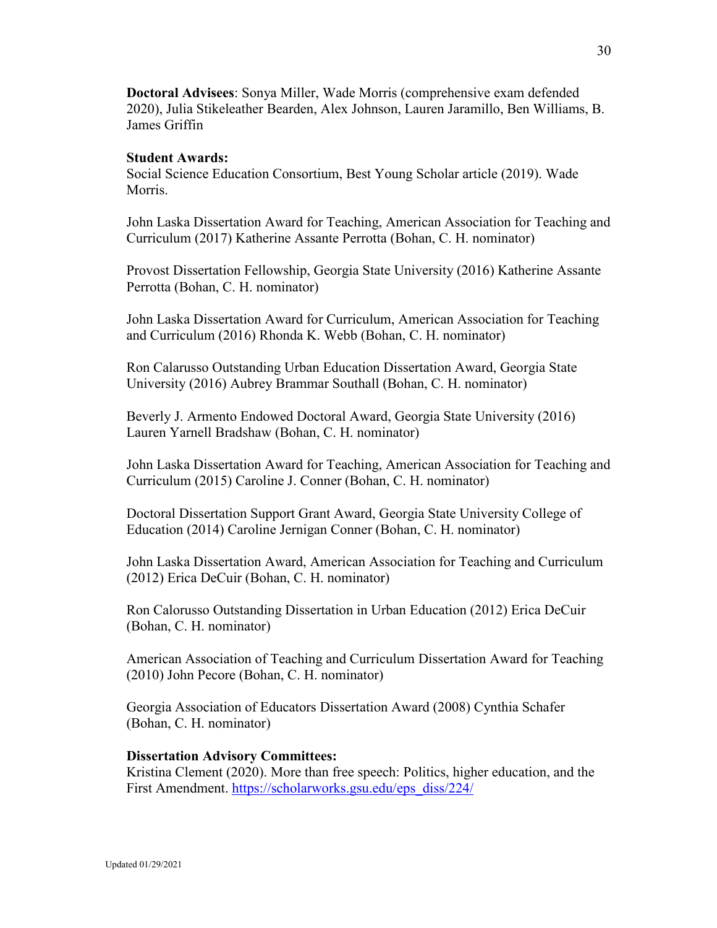**Doctoral Advisees**: Sonya Miller, Wade Morris (comprehensive exam defended 2020), Julia Stikeleather Bearden, Alex Johnson, Lauren Jaramillo, Ben Williams, B. James Griffin

### **Student Awards:**

Social Science Education Consortium, Best Young Scholar article (2019). Wade Morris.

John Laska Dissertation Award for Teaching, American Association for Teaching and Curriculum (2017) Katherine Assante Perrotta (Bohan, C. H. nominator)

Provost Dissertation Fellowship, Georgia State University (2016) Katherine Assante Perrotta (Bohan, C. H. nominator)

John Laska Dissertation Award for Curriculum, American Association for Teaching and Curriculum (2016) Rhonda K. Webb (Bohan, C. H. nominator)

Ron Calarusso Outstanding Urban Education Dissertation Award, Georgia State University (2016) Aubrey Brammar Southall (Bohan, C. H. nominator)

Beverly J. Armento Endowed Doctoral Award, Georgia State University (2016) Lauren Yarnell Bradshaw (Bohan, C. H. nominator)

John Laska Dissertation Award for Teaching, American Association for Teaching and Curriculum (2015) Caroline J. Conner (Bohan, C. H. nominator)

Doctoral Dissertation Support Grant Award, Georgia State University College of Education (2014) Caroline Jernigan Conner (Bohan, C. H. nominator)

John Laska Dissertation Award, American Association for Teaching and Curriculum (2012) Erica DeCuir (Bohan, C. H. nominator)

Ron Calorusso Outstanding Dissertation in Urban Education (2012) Erica DeCuir (Bohan, C. H. nominator)

American Association of Teaching and Curriculum Dissertation Award for Teaching (2010) John Pecore (Bohan, C. H. nominator)

Georgia Association of Educators Dissertation Award (2008) Cynthia Schafer (Bohan, C. H. nominator)

#### **Dissertation Advisory Committees:**

Kristina Clement (2020). More than free speech: Politics, higher education, and the First Amendment. [https://scholarworks.gsu.edu/eps\\_diss/224/](https://scholarworks.gsu.edu/eps_diss/224/)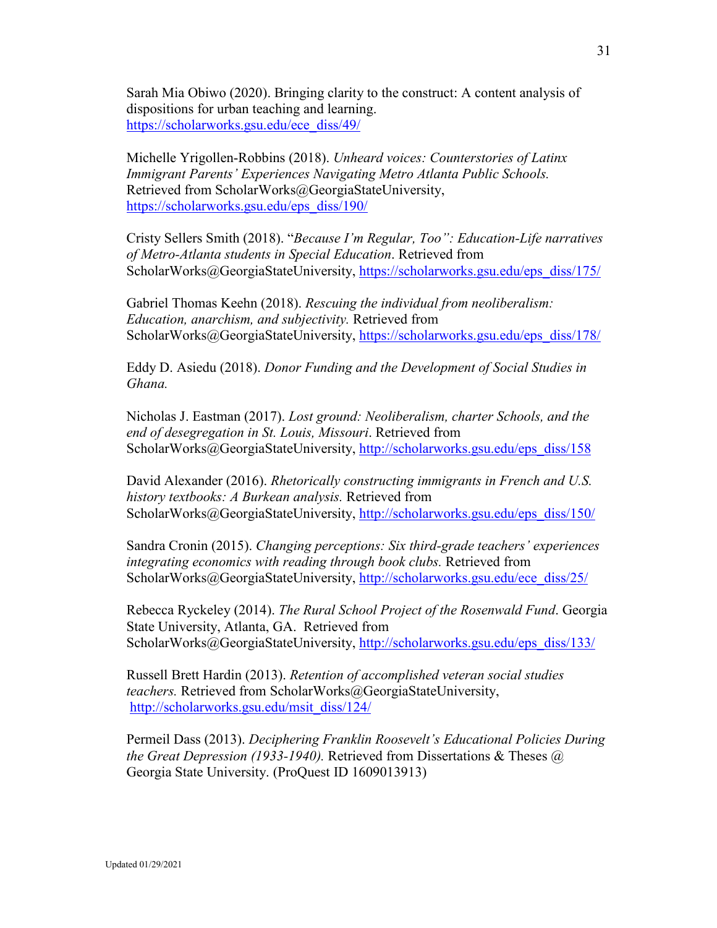Sarah Mia Obiwo (2020). Bringing clarity to the construct: A content analysis of dispositions for urban teaching and learning. [https://scholarworks.gsu.edu/ece\\_diss/49/](https://scholarworks.gsu.edu/ece_diss/49/)

Michelle Yrigollen-Robbins (2018). *Unheard voices: [Counterstories of Latinx](https://scholarworks.gsu.edu/cgi/viewcontent.cgi?article=1218&context=eps_diss)  [Immigrant Parents' Experiences Navigating Metro Atlanta Public Schools.](https://scholarworks.gsu.edu/cgi/viewcontent.cgi?article=1218&context=eps_diss)*  Retrieved from ScholarWorks@GeorgiaStateUniversity, [https://scholarworks.gsu.edu/eps\\_diss/190/](https://scholarworks.gsu.edu/eps_diss/190/)

Cristy Sellers Smith (2018). "*Because I'm Regular, Too": Education-Life narratives of Metro-Atlanta students in Special Education*. Retrieved from ScholarWorks@GeorgiaStateUniversity, [https://scholarworks.gsu.edu/eps\\_diss/175/](https://scholarworks.gsu.edu/eps_diss/175/)

Gabriel Thomas Keehn (2018). *Rescuing the individual from neoliberalism: Education, anarchism, and subjectivity.* Retrieved from ScholarWorks@GeorgiaStateUniversity, [https://scholarworks.gsu.edu/eps\\_diss/178/](https://scholarworks.gsu.edu/eps_diss/178/)

Eddy D. Asiedu (2018). *Donor Funding and the Development of Social Studies in Ghana.*

Nicholas J. Eastman (2017). *Lost ground: Neoliberalism, charter Schools, and the end of desegregation in St. Louis, Missouri*. Retrieved from ScholarWorks@GeorgiaStateUniversity, [http://scholarworks.gsu.edu/eps\\_diss/158](http://scholarworks.gsu.edu/eps_diss/158)

David Alexander (2016). *[Rhetorically constructing immigrants in French and U.S.](http://scholarworks.gsu.edu/cgi/viewcontent.cgi?article=1162&context=eps_diss)  [history textbooks: A Burkean analysis.](http://scholarworks.gsu.edu/cgi/viewcontent.cgi?article=1162&context=eps_diss)* Retrieved from ScholarWorks@GeorgiaStateUniversity, [http://scholarworks.gsu.edu/eps\\_diss/150/](http://scholarworks.gsu.edu/eps_diss/150/)

Sandra Cronin (2015). *Changing perceptions: Six third-grade teachers' experiences integrating economics with reading through book clubs.* Retrieved from ScholarWorks@GeorgiaStateUniversity, [http://scholarworks.gsu.edu/ece\\_diss/25/](http://scholarworks.gsu.edu/ece_diss/25/)

Rebecca Ryckeley (2014). *The Rural School Project of the Rosenwald Fund*. Georgia State University, Atlanta, GA. Retrieved from ScholarWorks@GeorgiaStateUniversity, [http://scholarworks.gsu.edu/eps\\_diss/133/](http://scholarworks.gsu.edu/eps_diss/133/)

Russell Brett Hardin (2013). *Retention of accomplished veteran social studies teachers.* Retrieved from ScholarWorks@GeorgiaStateUniversity, [http://scholarworks.gsu.edu/msit\\_diss/124/](http://scholarworks.gsu.edu/msit_diss/124/)

Permeil Dass (2013). *Deciphering Franklin Roosevelt's Educational Policies During the Great Depression (1933-1940).* Retrieved from Dissertations & Theses @ Georgia State University. (ProQuest ID 1609013913)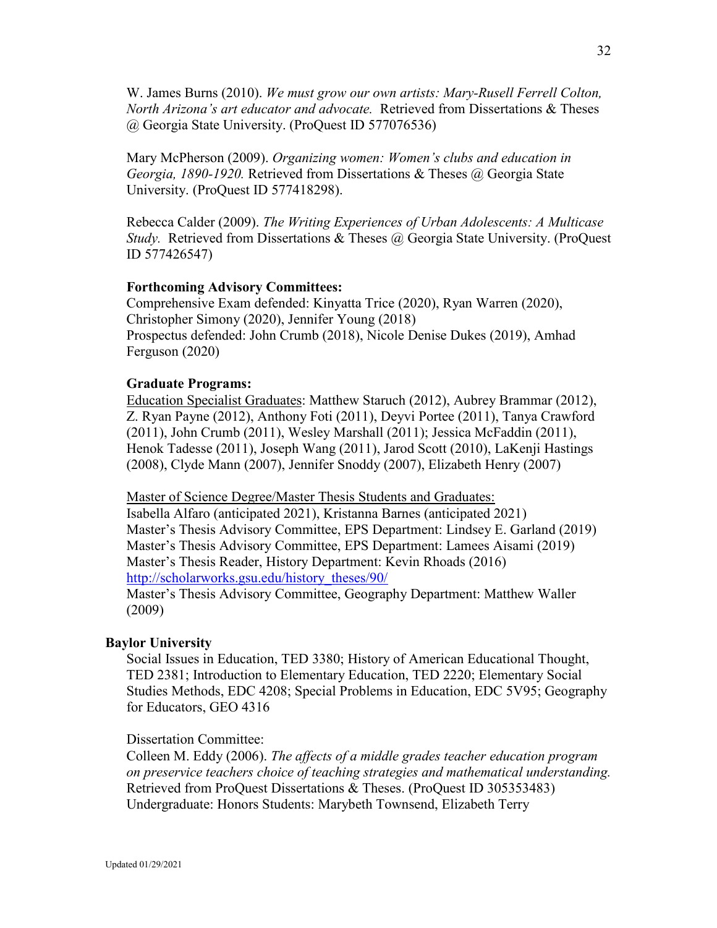W. James Burns (2010). *We must grow our own artists: Mary-Rusell Ferrell Colton, North Arizona's art educator and advocate.* Retrieved from Dissertations & Theses @ Georgia State University. (ProQuest ID 577076536)

Mary McPherson (2009). *Organizing women: Women's clubs and education in Georgia, 1890-1920.* Retrieved from Dissertations & Theses @ Georgia State University. (ProQuest ID 577418298).

Rebecca Calder (2009). *The Writing Experiences of Urban Adolescents: A Multicase Study.* Retrieved from Dissertations & Theses @ Georgia State University. (ProQuest ID 577426547)

#### **Forthcoming Advisory Committees:**

Comprehensive Exam defended: Kinyatta Trice (2020), Ryan Warren (2020), Christopher Simony (2020), Jennifer Young (2018) Prospectus defended: John Crumb (2018), Nicole Denise Dukes (2019), Amhad Ferguson (2020)

#### **Graduate Programs:**

Education Specialist Graduates: Matthew Staruch (2012), Aubrey Brammar (2012), Z. Ryan Payne (2012), Anthony Foti (2011), Deyvi Portee (2011), Tanya Crawford (2011), John Crumb (2011), Wesley Marshall (2011); Jessica McFaddin (2011), Henok Tadesse (2011), Joseph Wang (2011), Jarod Scott (2010), LaKenji Hastings (2008), Clyde Mann (2007), Jennifer Snoddy (2007), Elizabeth Henry (2007)

Master of Science Degree/Master Thesis Students and Graduates:

Isabella Alfaro (anticipated 2021), Kristanna Barnes (anticipated 2021) Master's Thesis Advisory Committee, EPS Department: Lindsey E. Garland (2019) Master's Thesis Advisory Committee, EPS Department: Lamees Aisami (2019) Master's Thesis Reader, History Department: Kevin Rhoads (2016) [http://scholarworks.gsu.edu/history\\_theses/90/](http://scholarworks.gsu.edu/history_theses/90/)

Master's Thesis Advisory Committee, Geography Department: Matthew Waller (2009)

#### **Baylor University**

Social Issues in Education, TED 3380; History of American Educational Thought, TED 2381; Introduction to Elementary Education, TED 2220; Elementary Social Studies Methods, EDC 4208; Special Problems in Education, EDC 5V95; Geography for Educators, GEO 4316

#### Dissertation Committee:

Colleen M. Eddy (2006). *The affects of a middle grades teacher education program on preservice teachers choice of teaching strategies and mathematical understanding.* Retrieved from ProQuest Dissertations & Theses. (ProQuest ID 305353483) Undergraduate: Honors Students: Marybeth Townsend, Elizabeth Terry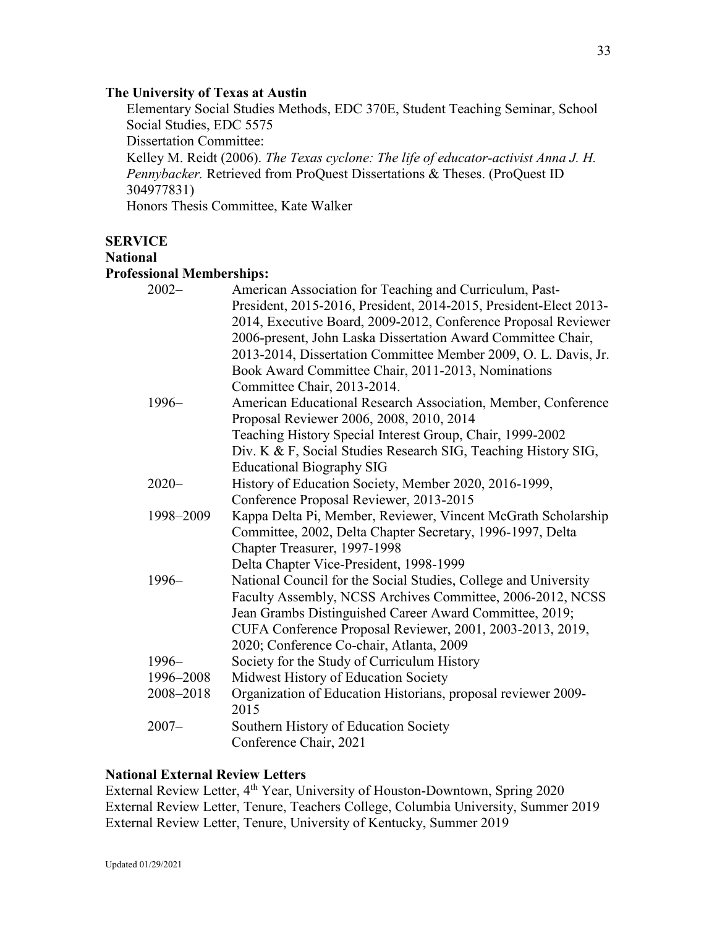### **The University of Texas at Austin**

Elementary Social Studies Methods, EDC 370E, Student Teaching Seminar, School Social Studies, EDC 5575

Dissertation Committee:

Kelley M. Reidt (2006). *The Texas cyclone: The life of educator-activist Anna J. H. Pennybacker.* Retrieved from ProQuest Dissertations & Theses. (ProQuest ID 304977831)

Honors Thesis Committee, Kate Walker

# **SERVICE**

### **National**

# **Professional Memberships:**

| $2002 -$  | American Association for Teaching and Curriculum, Past-           |
|-----------|-------------------------------------------------------------------|
|           | President, 2015-2016, President, 2014-2015, President-Elect 2013- |
|           | 2014, Executive Board, 2009-2012, Conference Proposal Reviewer    |
|           | 2006-present, John Laska Dissertation Award Committee Chair,      |
|           | 2013-2014, Dissertation Committee Member 2009, O. L. Davis, Jr.   |
|           | Book Award Committee Chair, 2011-2013, Nominations                |
|           | Committee Chair, 2013-2014.                                       |
| 1996-     | American Educational Research Association, Member, Conference     |
|           | Proposal Reviewer 2006, 2008, 2010, 2014                          |
|           | Teaching History Special Interest Group, Chair, 1999-2002         |
|           | Div. K & F, Social Studies Research SIG, Teaching History SIG,    |
|           | <b>Educational Biography SIG</b>                                  |
| $2020 -$  | History of Education Society, Member 2020, 2016-1999,             |
|           | Conference Proposal Reviewer, 2013-2015                           |
| 1998-2009 | Kappa Delta Pi, Member, Reviewer, Vincent McGrath Scholarship     |
|           | Committee, 2002, Delta Chapter Secretary, 1996-1997, Delta        |
|           | Chapter Treasurer, 1997-1998                                      |
|           | Delta Chapter Vice-President, 1998-1999                           |
| $1996-$   | National Council for the Social Studies, College and University   |
|           | Faculty Assembly, NCSS Archives Committee, 2006-2012, NCSS        |
|           | Jean Grambs Distinguished Career Award Committee, 2019;           |
|           | CUFA Conference Proposal Reviewer, 2001, 2003-2013, 2019,         |
|           | 2020; Conference Co-chair, Atlanta, 2009                          |
| $1996-$   | Society for the Study of Curriculum History                       |
| 1996-2008 | Midwest History of Education Society                              |
| 2008-2018 | Organization of Education Historians, proposal reviewer 2009-     |
|           | 2015                                                              |
| $2007 -$  | Southern History of Education Society                             |
|           | Conference Chair, 2021                                            |

# **National External Review Letters**

External Review Letter, 4<sup>th</sup> Year, University of Houston-Downtown, Spring 2020 External Review Letter, Tenure, Teachers College, Columbia University, Summer 2019 External Review Letter, Tenure, University of Kentucky, Summer 2019

33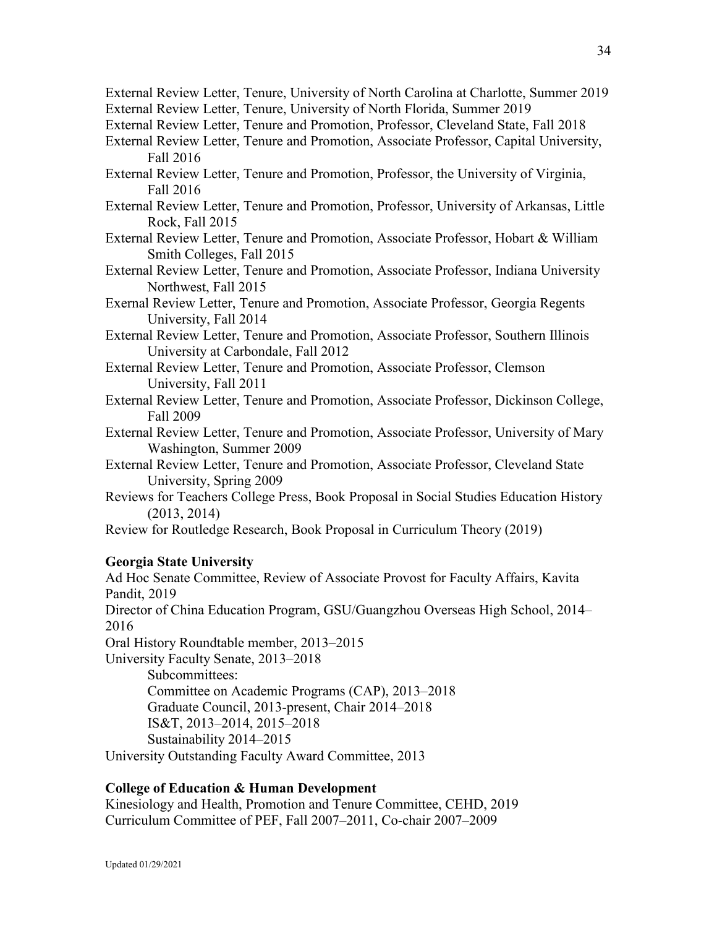- External Review Letter, Tenure, University of North Carolina at Charlotte, Summer 2019 External Review Letter, Tenure, University of North Florida, Summer 2019
- External Review Letter, Tenure and Promotion, Professor, Cleveland State, Fall 2018
- External Review Letter, Tenure and Promotion, Associate Professor, Capital University, Fall 2016
- External Review Letter, Tenure and Promotion, Professor, the University of Virginia, Fall 2016
- External Review Letter, Tenure and Promotion, Professor, University of Arkansas, Little Rock, Fall 2015
- External Review Letter, Tenure and Promotion, Associate Professor, Hobart & William Smith Colleges, Fall 2015
- External Review Letter, Tenure and Promotion, Associate Professor, Indiana University Northwest, Fall 2015
- Exernal Review Letter, Tenure and Promotion, Associate Professor, Georgia Regents University, Fall 2014
- External Review Letter, Tenure and Promotion, Associate Professor, Southern Illinois University at Carbondale, Fall 2012
- External Review Letter, Tenure and Promotion, Associate Professor, Clemson University, Fall 2011
- External Review Letter, Tenure and Promotion, Associate Professor, Dickinson College, Fall 2009
- External Review Letter, Tenure and Promotion, Associate Professor, University of Mary Washington, Summer 2009
- External Review Letter, Tenure and Promotion, Associate Professor, Cleveland State University, Spring 2009
- Reviews for Teachers College Press, Book Proposal in Social Studies Education History (2013, 2014)

Review for Routledge Research, Book Proposal in Curriculum Theory (2019)

### **Georgia State University**

Ad Hoc Senate Committee, Review of Associate Provost for Faculty Affairs, Kavita Pandit, 2019 Director of China Education Program, GSU/Guangzhou Overseas High School, 2014– 2016 Oral History Roundtable member, 2013–2015 University Faculty Senate, 2013–2018 Subcommittees: Committee on Academic Programs (CAP), 2013–2018 Graduate Council, 2013-present, Chair 2014–2018 IS&T, 2013–2014, 2015–2018 Sustainability 2014–2015

University Outstanding Faculty Award Committee, 2013

# **College of Education & Human Development**

Kinesiology and Health, Promotion and Tenure Committee, CEHD, 2019 Curriculum Committee of PEF, Fall 2007–2011, Co-chair 2007–2009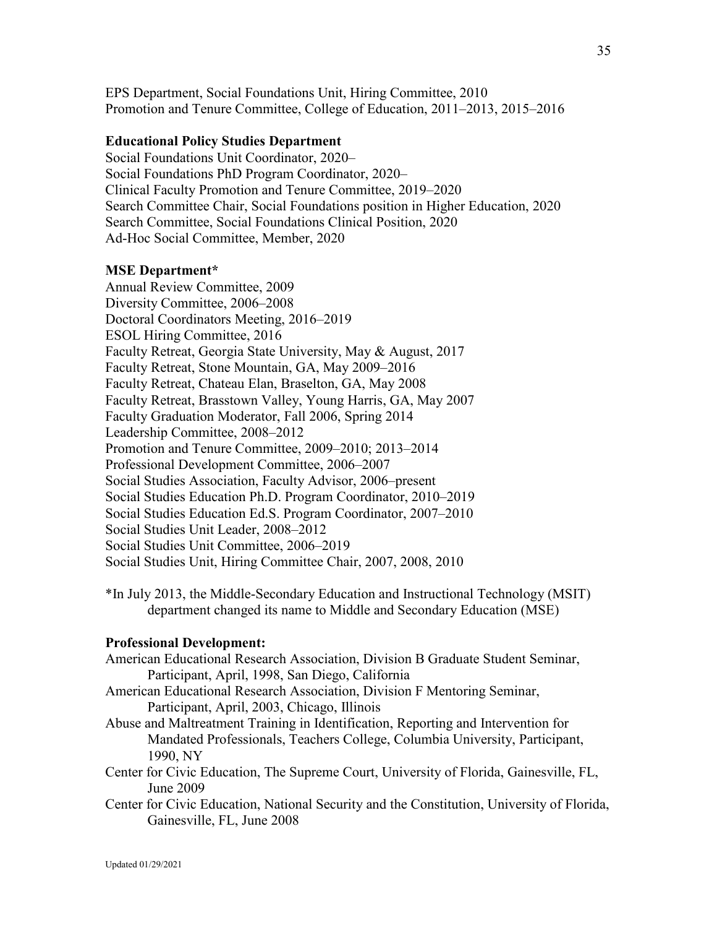EPS Department, Social Foundations Unit, Hiring Committee, 2010 Promotion and Tenure Committee, College of Education, 2011–2013, 2015–2016

# **Educational Policy Studies Department**

Social Foundations Unit Coordinator, 2020– Social Foundations PhD Program Coordinator, 2020– Clinical Faculty Promotion and Tenure Committee, 2019–2020 Search Committee Chair, Social Foundations position in Higher Education, 2020 Search Committee, Social Foundations Clinical Position, 2020 Ad-Hoc Social Committee, Member, 2020

#### **MSE Department\***

Annual Review Committee, 2009 Diversity Committee, 2006–2008 Doctoral Coordinators Meeting, 2016–2019 ESOL Hiring Committee, 2016 Faculty Retreat, Georgia State University, May & August, 2017 Faculty Retreat, Stone Mountain, GA, May 2009–2016 Faculty Retreat, Chateau Elan, Braselton, GA, May 2008 Faculty Retreat, Brasstown Valley, Young Harris, GA, May 2007 Faculty Graduation Moderator, Fall 2006, Spring 2014 Leadership Committee, 2008–2012 Promotion and Tenure Committee, 2009–2010; 2013–2014 Professional Development Committee, 2006–2007 Social Studies Association, Faculty Advisor, 2006–present Social Studies Education Ph.D. Program Coordinator, 2010–2019 Social Studies Education Ed.S. Program Coordinator, 2007–2010 Social Studies Unit Leader, 2008–2012 Social Studies Unit Committee, 2006–2019 Social Studies Unit, Hiring Committee Chair, 2007, 2008, 2010

\*In July 2013, the Middle-Secondary Education and Instructional Technology (MSIT) department changed its name to Middle and Secondary Education (MSE)

#### **Professional Development:**

- American Educational Research Association, Division B Graduate Student Seminar, Participant, April, 1998, San Diego, California
- American Educational Research Association, Division F Mentoring Seminar, Participant, April, 2003, Chicago, Illinois
- Abuse and Maltreatment Training in Identification, Reporting and Intervention for Mandated Professionals, Teachers College, Columbia University, Participant, 1990, NY
- Center for Civic Education, The Supreme Court, University of Florida, Gainesville, FL, June 2009
- Center for Civic Education, National Security and the Constitution, University of Florida, Gainesville, FL, June 2008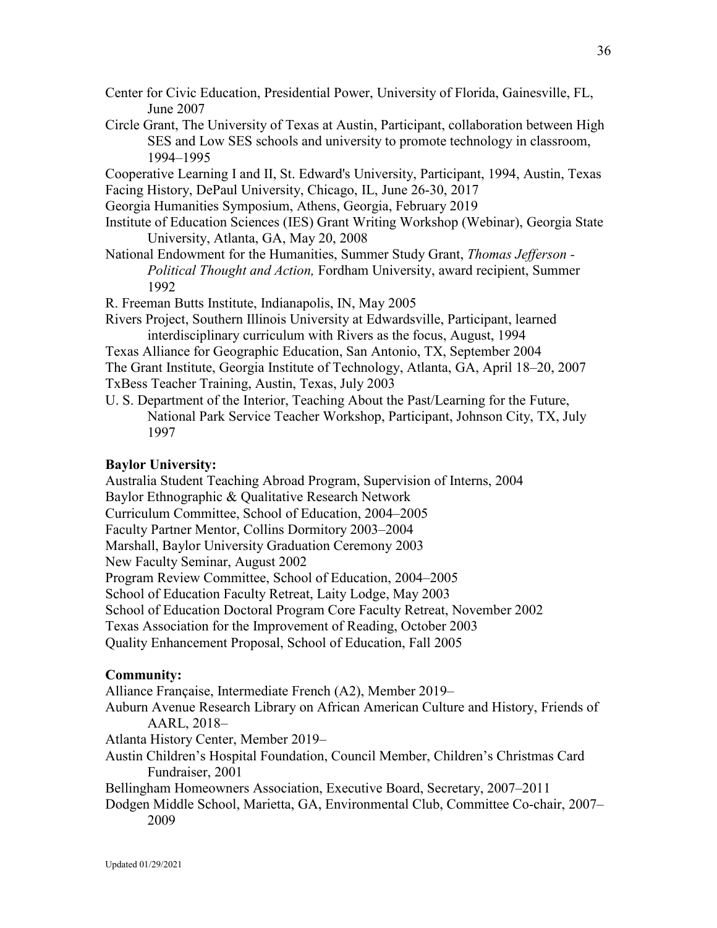- Center for Civic Education, Presidential Power, University of Florida, Gainesville, FL, June 2007
- Circle Grant, The University of Texas at Austin, Participant, collaboration between High SES and Low SES schools and university to promote technology in classroom, 1994–1995

Cooperative Learning I and II, St. Edward's University, Participant, 1994, Austin, Texas Facing History, DePaul University, Chicago, IL, June 26-30, 2017

Georgia Humanities Symposium, Athens, Georgia, February 2019

- Institute of Education Sciences (IES) Grant Writing Workshop (Webinar), Georgia State University, Atlanta, GA, May 20, 2008
- National Endowment for the Humanities, Summer Study Grant, *Thomas Jefferson - Political Thought and Action,* Fordham University, award recipient, Summer 1992

R. Freeman Butts Institute, Indianapolis, IN, May 2005

Rivers Project, Southern Illinois University at Edwardsville, Participant, learned interdisciplinary curriculum with Rivers as the focus, August, 1994

Texas Alliance for Geographic Education, San Antonio, TX, September 2004 The Grant Institute, Georgia Institute of Technology, Atlanta, GA, April 18–20, 2007 TxBess Teacher Training, Austin, Texas, July 2003

U. S. Department of the Interior, Teaching About the Past/Learning for the Future, National Park Service Teacher Workshop, Participant, Johnson City, TX, July 1997

#### **Baylor University:**

Australia Student Teaching Abroad Program, Supervision of Interns, 2004 Baylor Ethnographic & Qualitative Research Network Curriculum Committee, School of Education, 2004–2005 Faculty Partner Mentor, Collins Dormitory 2003–2004 Marshall, Baylor University Graduation Ceremony 2003 New Faculty Seminar, August 2002 Program Review Committee, School of Education, 2004–2005 School of Education Faculty Retreat, Laity Lodge, May 2003 School of Education Doctoral Program Core Faculty Retreat, November 2002 Texas Association for the Improvement of Reading, October 2003 Quality Enhancement Proposal, School of Education, Fall 2005

#### **Community:**

Alliance Française, Intermediate French (A2), Member 2019–

Auburn Avenue Research Library on African American Culture and History, Friends of AARL, 2018–

Atlanta History Center, Member 2019–

Austin Children's Hospital Foundation, Council Member, Children's Christmas Card Fundraiser, 2001

Bellingham Homeowners Association, Executive Board, Secretary, 2007–2011

Dodgen Middle School, Marietta, GA, Environmental Club, Committee Co-chair, 2007– 2009